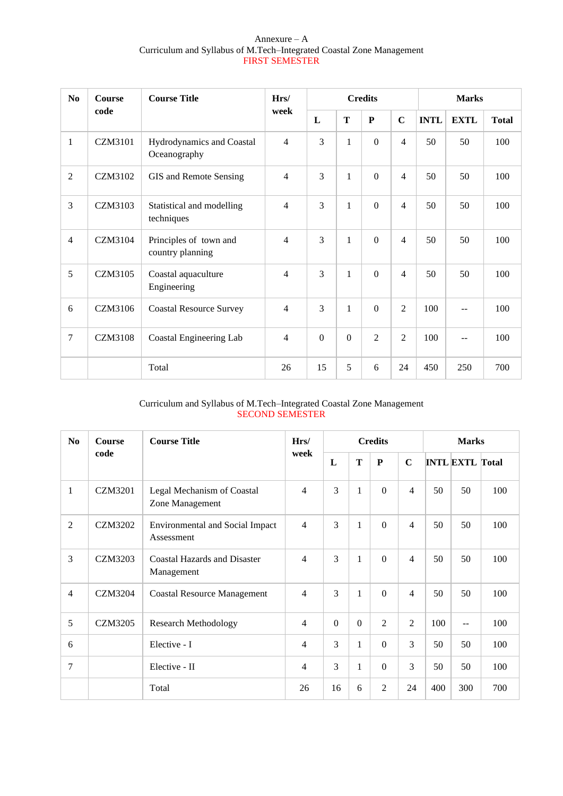### Annexure – A Curriculum and Syllabus of M.Tech–Integrated Coastal Zone Management FIRST SEMESTER

| N <sub>0</sub> | Course         | <b>Course Title</b>                        | Hrs/           | <b>Credits</b> |                |                  |                | <b>Marks</b> |             |              |  |
|----------------|----------------|--------------------------------------------|----------------|----------------|----------------|------------------|----------------|--------------|-------------|--------------|--|
|                | code           |                                            | week           | L              | T              | ${\bf P}$        | $\mathbf C$    | <b>INTL</b>  | <b>EXTL</b> | <b>Total</b> |  |
| 1              | <b>CZM3101</b> | Hydrodynamics and Coastal<br>Oceanography  | $\overline{4}$ | 3              | $\mathbf{1}$   | $\boldsymbol{0}$ | $\overline{4}$ | 50           | 50          | 100          |  |
| $\overline{2}$ | <b>CZM3102</b> | GIS and Remote Sensing                     | $\overline{4}$ | 3              | 1              | $\overline{0}$   | $\overline{4}$ | 50           | 50          | 100          |  |
| 3              | <b>CZM3103</b> | Statistical and modelling<br>techniques    | $\overline{4}$ | 3              | $\mathbf{1}$   | $\boldsymbol{0}$ | $\overline{4}$ | 50           | 50          | 100          |  |
| $\overline{4}$ | CZM3104        | Principles of town and<br>country planning | $\overline{4}$ | $\overline{3}$ | 1              | $\Omega$         | $\overline{4}$ | 50           | 50          | 100          |  |
| 5              | <b>CZM3105</b> | Coastal aquaculture<br>Engineering         | 4              | 3              | $\mathbf{1}$   | $\overline{0}$   | $\overline{4}$ | 50           | 50          | 100          |  |
| 6              | <b>CZM3106</b> | <b>Coastal Resource Survey</b>             | $\overline{4}$ | 3              | 1              | $\overline{0}$   | $\overline{2}$ | 100          | --          | 100          |  |
| $\overline{7}$ | <b>CZM3108</b> | Coastal Engineering Lab                    | $\overline{4}$ | $\mathbf{0}$   | $\overline{0}$ | $\overline{2}$   | $\overline{2}$ | 100          | --          | 100          |  |
|                |                | Total                                      | 26             | 15             | 5              | 6                | 24             | 450          | 250         | 700          |  |

# Curriculum and Syllabus of M.Tech–Integrated Coastal Zone Management SECOND SEMESTER

| N <sub>0</sub> | <b>Course Title</b><br>Hrs/<br><b>Course</b><br>code<br>week |                                                      |                | <b>Credits</b> |              |                |                | <b>Marks</b> |                        |     |  |
|----------------|--------------------------------------------------------------|------------------------------------------------------|----------------|----------------|--------------|----------------|----------------|--------------|------------------------|-----|--|
|                |                                                              |                                                      |                | L              | T            | ${\bf P}$      | $\mathbf C$    |              | <b>INTL EXTL Total</b> |     |  |
| $\mathbf{1}$   | <b>CZM3201</b>                                               | Legal Mechanism of Coastal<br>Zone Management        | $\overline{4}$ | $\overline{3}$ | $\mathbf{1}$ | $\overline{0}$ | 4              | 50           | 50                     | 100 |  |
| $\overline{2}$ | <b>CZM3202</b>                                               | <b>Environmental and Social Impact</b><br>Assessment | $\overline{4}$ | 3              | $\mathbf{1}$ | $\mathbf{0}$   | $\overline{4}$ | 50           | 50                     | 100 |  |
| 3              | CZM3203                                                      | <b>Coastal Hazards and Disaster</b><br>Management    | $\overline{4}$ | 3              | $\mathbf{1}$ | $\overline{0}$ | 4              | 50           | 50                     | 100 |  |
| $\overline{4}$ | <b>CZM3204</b>                                               | <b>Coastal Resource Management</b>                   | $\overline{4}$ | $\overline{3}$ | $\mathbf{1}$ | $\Omega$       | 4              | 50           | 50                     | 100 |  |
| 5              | CZM3205                                                      | <b>Research Methodology</b>                          | $\overline{4}$ | $\Omega$       | $\Omega$     | $\overline{2}$ | $\overline{2}$ | 100          | $\sim$ $\sim$          | 100 |  |
| 6              |                                                              | Elective - I                                         | $\overline{4}$ | $\mathcal{F}$  | 1            | $\Omega$       | 3              | 50           | 50                     | 100 |  |
| 7              |                                                              | Elective - II                                        | $\overline{4}$ | 3              | 1            | $\Omega$       | 3              | 50           | 50                     | 100 |  |
|                |                                                              | Total                                                | 26             | 16             | 6            | 2              | 24             | 400          | 300                    | 700 |  |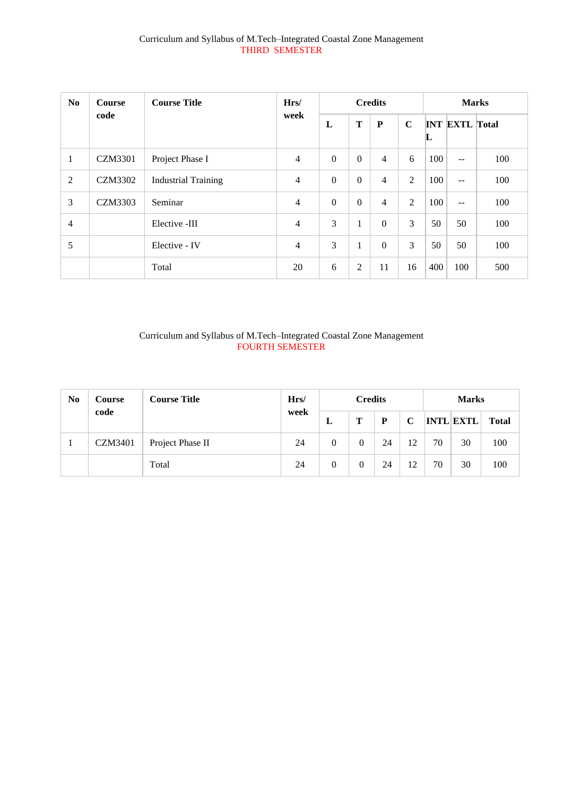# Curriculum and Syllabus of M.Tech–Integrated Coastal Zone Management THIRD SEMESTER

| N <sub>0</sub> | <b>Course Title</b><br><b>Course</b> |                            | Hrs/           | <b>Credits</b> |          |                |             | <b>Marks</b> |                       |     |  |
|----------------|--------------------------------------|----------------------------|----------------|----------------|----------|----------------|-------------|--------------|-----------------------|-----|--|
|                | code                                 |                            | week           | L              | T        | ${\bf P}$      | $\mathbf C$ | L            | <b>INT EXTL Total</b> |     |  |
| $\mathbf{1}$   | <b>CZM3301</b>                       | Project Phase I            | $\overline{4}$ | $\Omega$       | $\Omega$ | $\overline{4}$ | 6           | 100          | $-$                   | 100 |  |
| 2              | <b>CZM3302</b>                       | <b>Industrial Training</b> | $\overline{4}$ | $\mathbf{0}$   | $\Omega$ | 4              | 2           | 100          | $\sim$ $\sim$         | 100 |  |
| 3              | <b>CZM3303</b>                       | Seminar                    | $\overline{4}$ | $\Omega$       | $\Omega$ | 4              | 2           | 100          | $\sim$ $\sim$         | 100 |  |
| $\overline{4}$ |                                      | Elective -III              | $\overline{4}$ | 3              | 1        | $\Omega$       | 3           | 50           | 50                    | 100 |  |
| 5              |                                      | Elective - IV              | $\overline{4}$ | 3              | 1        | $\Omega$       | 3           | 50           | 50                    | 100 |  |
|                |                                      | Total                      | 20             | 6              | 2        | 11             | 16          | 400          | 100                   | 500 |  |

# Curriculum and Syllabus of M.Tech–Integrated Coastal Zone Management FOURTH SEMESTER

| N <sub>0</sub> | <b>Course</b>  | Hrs/<br><b>Course Title</b> |      |   | <b>Credits</b> |    | <b>Marks</b> |    |                  |              |
|----------------|----------------|-----------------------------|------|---|----------------|----|--------------|----|------------------|--------------|
|                | code           |                             | week | ப | Т              | P  | $\mathbf C$  |    | <b>INTL EXTL</b> | <b>Total</b> |
|                | <b>CZM3401</b> | Project Phase II            | 24   | 0 |                | 24 | 12           | 70 | 30               | 100          |
|                |                | Total                       | 24   | 0 |                | 24 | 12           | 70 | 30               | 100          |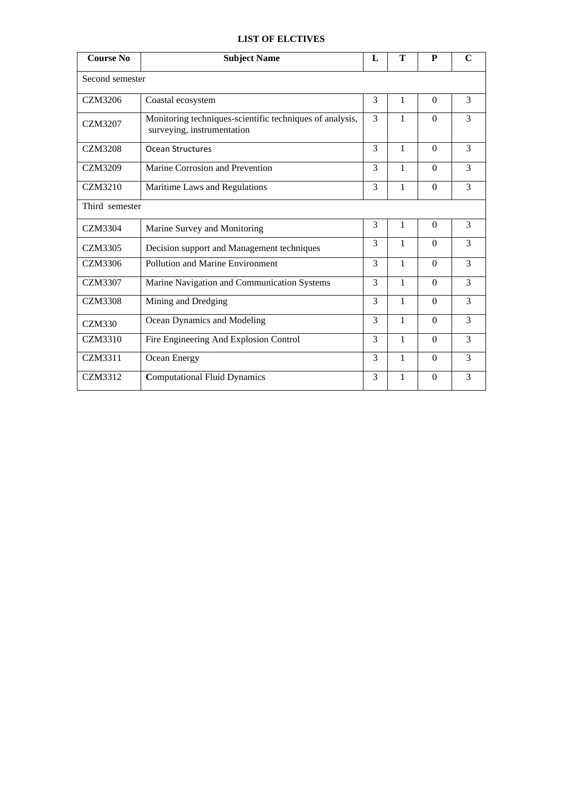# **LIST OF ELCTIVES**

| <b>Course No</b> | <b>Subject Name</b>                                                                    | L             | T            | P        | $\mathbf C$ |  |  |  |
|------------------|----------------------------------------------------------------------------------------|---------------|--------------|----------|-------------|--|--|--|
|                  | Second semester                                                                        |               |              |          |             |  |  |  |
| <b>CZM3206</b>   | Coastal ecosystem                                                                      | 3             | 1            | $\Omega$ | 3           |  |  |  |
| <b>CZM3207</b>   | Monitoring techniques-scientific techniques of analysis,<br>surveying, instrumentation | 3             | $\mathbf{1}$ | $\Omega$ | 3           |  |  |  |
| <b>CZM3208</b>   | <b>Ocean Structures</b>                                                                | 3             | 1            | $\Omega$ | 3           |  |  |  |
| <b>CZM3209</b>   | Marine Corrosion and Prevention                                                        | 3             | 1            | $\Omega$ | 3           |  |  |  |
| <b>CZM3210</b>   | Maritime Laws and Regulations                                                          | 3             | $\mathbf{1}$ | $\Omega$ | 3           |  |  |  |
|                  | Third semester                                                                         |               |              |          |             |  |  |  |
| <b>CZM3304</b>   | Marine Survey and Monitoring                                                           | 3             | 1            | $\Omega$ | 3           |  |  |  |
| CZM3305          | Decision support and Management techniques                                             | 3             | 1            | $\theta$ | 3           |  |  |  |
| <b>CZM3306</b>   | Pollution and Marine Environment                                                       | $\mathcal{R}$ | 1            | $\Omega$ | 3           |  |  |  |
| <b>CZM3307</b>   | Marine Navigation and Communication Systems                                            | 3             | $\mathbf{1}$ | $\Omega$ | 3           |  |  |  |
| <b>CZM3308</b>   | Mining and Dredging                                                                    | $\mathcal{E}$ | 1            | $\Omega$ | 3           |  |  |  |
| CZM330           | Ocean Dynamics and Modeling                                                            | 3             | 1            | $\Omega$ | 3           |  |  |  |
| CZM3310          | Fire Engineering And Explosion Control                                                 | 3             | $\mathbf{1}$ | $\Omega$ | 3           |  |  |  |
| CZM3311          | Ocean Energy                                                                           | $\mathcal{E}$ | $\mathbf{1}$ | $\Omega$ | 3           |  |  |  |
| <b>CZM3312</b>   | <b>Computational Fluid Dynamics</b>                                                    | 3             | $\mathbf{1}$ | $\theta$ | 3           |  |  |  |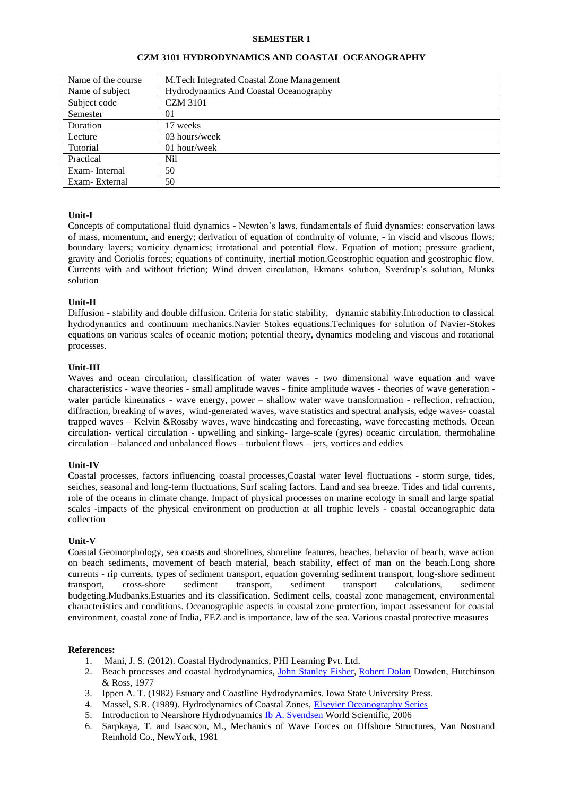### **SEMESTER I**

| Name of the course | M.Tech Integrated Coastal Zone Management     |
|--------------------|-----------------------------------------------|
| Name of subject    | <b>Hydrodynamics And Coastal Oceanography</b> |
| Subject code       | <b>CZM 3101</b>                               |
| Semester           | 01                                            |
| Duration           | 17 weeks                                      |
| Lecture            | 03 hours/week                                 |
| Tutorial           | 01 hour/week                                  |
| Practical          | Nil                                           |
| Exam-Internal      | 50                                            |
| Exam-External      | 50                                            |

### **CZM 3101 HYDRODYNAMICS AND COASTAL OCEANOGRAPHY**

# **Unit-I**

Concepts of computational fluid dynamics - Newton's laws, fundamentals of fluid dynamics: conservation laws of mass, momentum, and energy; derivation of equation of continuity of volume, - in viscid and viscous flows; boundary layers; vorticity dynamics; irrotational and potential flow. Equation of motion; pressure gradient, gravity and Coriolis forces; equations of continuity, inertial motion.Geostrophic equation and geostrophic flow. Currents with and without friction; Wind driven circulation, Ekmans solution, Sverdrup's solution, Munks solution

### **Unit-II**

Diffusion - stability and double diffusion. Criteria for static stability, dynamic stability.Introduction to classical hydrodynamics and continuum mechanics.Navier Stokes equations.Techniques for solution of Navier-Stokes equations on various scales of oceanic motion; potential theory, dynamics modeling and viscous and rotational processes.

#### **Unit-III**

Waves and ocean circulation, classification of water waves - two dimensional wave equation and wave characteristics - wave theories - small amplitude waves - finite amplitude waves - theories of wave generation water particle kinematics - wave energy, power – shallow water wave transformation - reflection, refraction, diffraction, breaking of waves, wind-generated waves, wave statistics and spectral analysis, edge waves- coastal trapped waves – Kelvin &Rossby waves, wave hindcasting and forecasting, wave forecasting methods. Ocean circulation- vertical circulation - upwelling and sinking- large-scale (gyres) oceanic circulation, thermohaline circulation – balanced and unbalanced flows – turbulent flows – jets, vortices and eddies

#### **Unit-IV**

Coastal processes, factors influencing coastal processes,Coastal water level fluctuations - storm surge, tides, seiches, seasonal and long-term fluctuations, Surf scaling factors. Land and sea breeze. Tides and tidal currents, role of the oceans in climate change. Impact of physical processes on marine ecology in small and large spatial scales -impacts of the physical environment on production at all trophic levels - coastal oceanographic data collection

#### **Unit-V**

Coastal Geomorphology, sea coasts and shorelines, shoreline features, beaches, behavior of beach, wave action on beach sediments, movement of beach material, beach stability, effect of man on the beach.Long shore currents - rip currents, types of sediment transport, equation governing sediment transport, long-shore sediment transport, cross-shore sediment transport, sediment transport calculations, sediment budgeting.Mudbanks.Estuaries and its classification. Sediment cells, coastal zone management, environmental characteristics and conditions. Oceanographic aspects in coastal zone protection, impact assessment for coastal environment, coastal zone of India, EEZ and is importance, law of the sea. Various coastal protective measures

- 1. [Mani,](http://www.google.co.in/search?tbo=p&tbm=bks&q=inauthor:%22J.+S.+Mani%22) J. S. (2012). Coastal Hydrodynamics, PHI Learning Pvt. Ltd.
- 2. Beach processes and coastal hydrodynamics, [John Stanley Fisher,](http://www.google.co.in/search?tbo=p&tbm=bks&q=inauthor:%22John+Stanley+Fisher%22) [Robert Dolan](http://www.google.co.in/search?tbo=p&tbm=bks&q=inauthor:%22Robert+Dolan%22) Dowden, Hutchinson & Ross, 1977
- 3. Ippen A. T. (1982) Estuary and Coastline Hydrodynamics. Iowa State University Press.
- 4. Massel, S.R. (1989). Hydrodynamics of Coastal Zones, [Elsevier Oceanography Series](http://www.elsevier.com/locate/series/EOS)<br>5. Introduction to Nearshore Hydrodynamics Ib A. Svendsen World Scientific. 2006
- 5. Introduction to Nearshore Hydrodynamics [Ib A. Svendsen](http://www.google.co.in/search?tbo=p&tbm=bks&q=inauthor:%22Ib+A.+Svendsen%22) World Scientific, 2006
- 6. Sarpkaya, T. and Isaacson, M., Mechanics of Wave Forces on Offshore Structures, Van Nostrand Reinhold Co., NewYork, 1981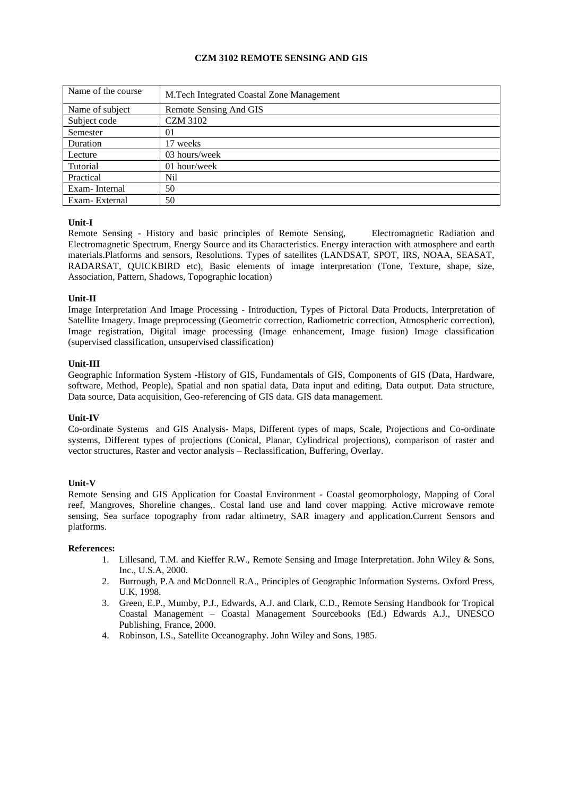# **CZM 3102 REMOTE SENSING AND GIS**

| Name of the course | M.Tech Integrated Coastal Zone Management |
|--------------------|-------------------------------------------|
| Name of subject    | Remote Sensing And GIS                    |
| Subject code       | <b>CZM 3102</b>                           |
| Semester           | $_{01}$                                   |
| Duration           | 17 weeks                                  |
| Lecture            | 03 hours/week                             |
| Tutorial           | 01 hour/week                              |
| Practical          | Nil                                       |
| Exam-Internal      | 50                                        |
| Exam-External      | 50                                        |

# **Unit-I**

Remote Sensing - History and basic principles of Remote Sensing, Electromagnetic Radiation and Electromagnetic Spectrum, Energy Source and its Characteristics. Energy interaction with atmosphere and earth materials.Platforms and sensors, Resolutions. Types of satellites (LANDSAT, SPOT, IRS, NOAA, SEASAT, RADARSAT, QUICKBIRD etc), Basic elements of image interpretation (Tone, Texture, shape, size, Association, Pattern, Shadows, Topographic location)

# **Unit-II**

Image Interpretation And Image Processing - Introduction, Types of Pictoral Data Products, Interpretation of Satellite Imagery. Image preprocessing (Geometric correction, Radiometric correction, Atmospheric correction), Image registration, Digital image processing (Image enhancement, Image fusion) Image classification (supervised classification, unsupervised classification)

# **Unit-III**

Geographic Information System -History of GIS, Fundamentals of GIS, Components of GIS (Data, Hardware, software, Method, People), Spatial and non spatial data, Data input and editing, Data output. Data structure, Data source, Data acquisition, Geo-referencing of GIS data. GIS data management.

# **Unit-IV**

Co-ordinate Systems and GIS Analysis- Maps, Different types of maps, Scale, Projections and Co-ordinate systems, Different types of projections (Conical, Planar, Cylindrical projections), comparison of raster and vector structures, Raster and vector analysis – Reclassification, Buffering, Overlay.

# **Unit-V**

Remote Sensing and GIS Application for Coastal Environment - Coastal geomorphology, Mapping of Coral reef, Mangroves, Shoreline changes,. Costal land use and land cover mapping. Active microwave remote sensing, Sea surface topography from radar altimetry, SAR imagery and application.Current Sensors and platforms.

- 1. Lillesand, T.M. and Kieffer R.W., Remote Sensing and Image Interpretation. John Wiley & Sons, Inc., U.S.A, 2000.
- 2. Burrough, P.A and McDonnell R.A., Principles of Geographic Information Systems. Oxford Press, U.K, 1998.
- 3. Green, E.P., Mumby, P.J., Edwards, A.J. and Clark, C.D., Remote Sensing Handbook for Tropical Coastal Management – Coastal Management Sourcebooks (Ed.) Edwards A.J., UNESCO Publishing, France, 2000.
- 4. Robinson, I.S., Satellite Oceanography. John Wiley and Sons, 1985.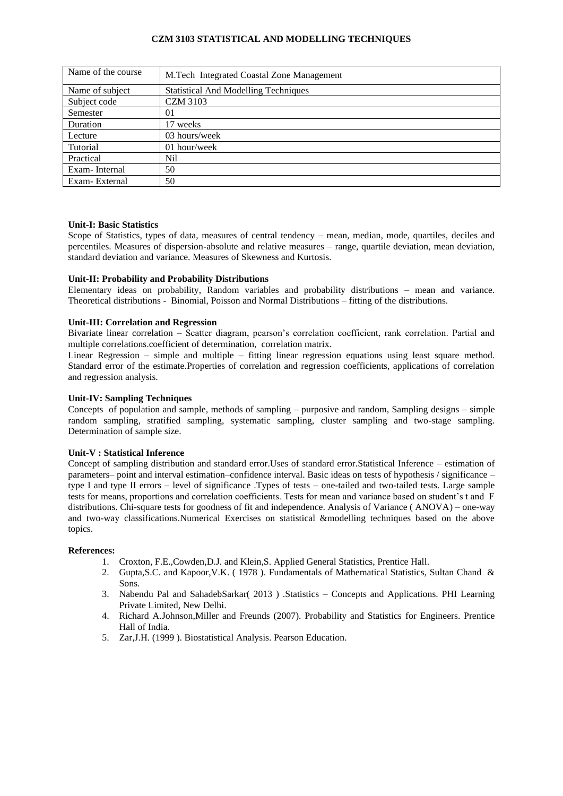## **CZM 3103 STATISTICAL AND MODELLING TECHNIQUES**

| Name of the course | M.Tech Integrated Coastal Zone Management   |
|--------------------|---------------------------------------------|
| Name of subject    | <b>Statistical And Modelling Techniques</b> |
| Subject code       | <b>CZM 3103</b>                             |
| Semester           | 01                                          |
| Duration           | 17 weeks                                    |
| Lecture            | 03 hours/week                               |
| Tutorial           | 01 hour/week                                |
| Practical          | Nil                                         |
| Exam-Internal      | 50                                          |
| Exam-External      | 50                                          |

#### **Unit-I: Basic Statistics**

Scope of Statistics, types of data, measures of central tendency – mean, median, mode, quartiles, deciles and percentiles. Measures of dispersion-absolute and relative measures – range, quartile deviation, mean deviation, standard deviation and variance. Measures of Skewness and Kurtosis.

### **Unit-II: Probability and Probability Distributions**

Elementary ideas on probability, Random variables and probability distributions – mean and variance. Theoretical distributions - Binomial, Poisson and Normal Distributions – fitting of the distributions.

### **Unit-III: Correlation and Regression**

Bivariate linear correlation – Scatter diagram, pearson's correlation coefficient, rank correlation. Partial and multiple correlations.coefficient of determination, correlation matrix.

Linear Regression – simple and multiple – fitting linear regression equations using least square method. Standard error of the estimate.Properties of correlation and regression coefficients, applications of correlation and regression analysis.

# **Unit-IV: Sampling Techniques**

Concepts of population and sample, methods of sampling – purposive and random, Sampling designs – simple random sampling, stratified sampling, systematic sampling, cluster sampling and two-stage sampling. Determination of sample size.

#### **Unit-V : Statistical Inference**

Concept of sampling distribution and standard error.Uses of standard error.Statistical Inference – estimation of parameters– point and interval estimation–confidence interval. Basic ideas on tests of hypothesis / significance – type I and type II errors – level of significance .Types of tests – one-tailed and two-tailed tests. Large sample tests for means, proportions and correlation coefficients. Tests for mean and variance based on student's t and F distributions. Chi-square tests for goodness of fit and independence. Analysis of Variance ( ANOVA) – one-way and two-way classifications.Numerical Exercises on statistical &modelling techniques based on the above topics.

- 1. Croxton, F.E.,Cowden,D.J. and Klein,S. Applied General Statistics, Prentice Hall.
- 2. Gupta,S.C. and Kapoor,V.K. ( 1978 ). Fundamentals of Mathematical Statistics, Sultan Chand & Sons.
- 3. Nabendu Pal and SahadebSarkar( 2013 ) .Statistics Concepts and Applications. PHI Learning Private Limited, New Delhi.
- 4. Richard A.Johnson,Miller and Freunds (2007). Probability and Statistics for Engineers. Prentice Hall of India.
- 5. Zar,J.H. (1999 ). Biostatistical Analysis. Pearson Education.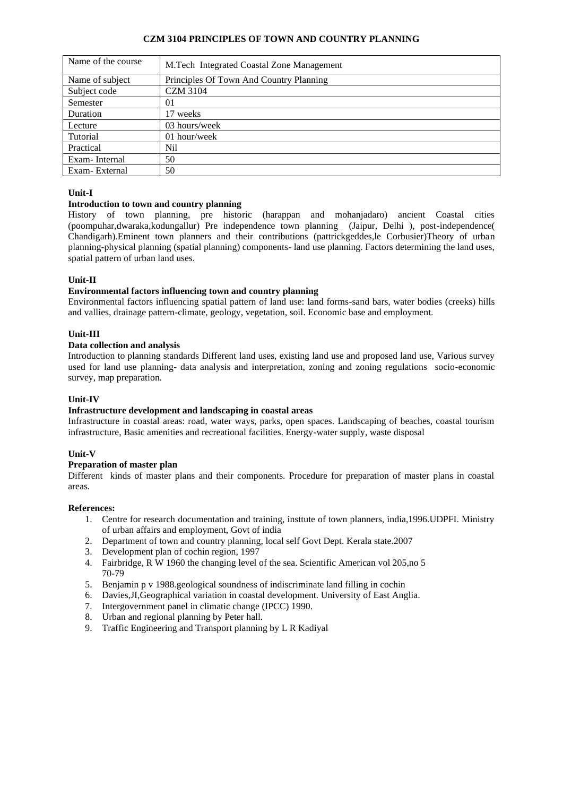# **CZM 3104 PRINCIPLES OF TOWN AND COUNTRY PLANNING**

| Name of the course | M.Tech Integrated Coastal Zone Management |
|--------------------|-------------------------------------------|
| Name of subject    | Principles Of Town And Country Planning   |
| Subject code       | CZM 3104                                  |
| Semester           | 01                                        |
| Duration           | 17 weeks                                  |
| Lecture            | 03 hours/week                             |
| Tutorial           | 01 hour/week                              |
| Practical          | Nil                                       |
| Exam-Internal      | 50                                        |
| Exam-External      | 50                                        |

# **Unit-I**

# **Introduction to town and country planning**

History of town planning, pre historic (harappan and mohanjadaro) ancient Coastal cities (poompuhar,dwaraka,kodungallur) Pre independence town planning (Jaipur, Delhi ), post-independence( Chandigarh).Eminent town planners and their contributions (pattrickgeddes,le Corbusier)Theory of urban planning-physical planning (spatial planning) components- land use planning. Factors determining the land uses, spatial pattern of urban land uses.

# **Unit-II**

### **Environmental factors influencing town and country planning**

Environmental factors influencing spatial pattern of land use: land forms-sand bars, water bodies (creeks) hills and vallies, drainage pattern-climate, geology, vegetation, soil. Economic base and employment.

# **Unit-III**

### **Data collection and analysis**

Introduction to planning standards Different land uses, existing land use and proposed land use, Various survey used for land use planning- data analysis and interpretation, zoning and zoning regulations socio-economic survey, map preparation.

# **Unit-IV**

# **Infrastructure development and landscaping in coastal areas**

Infrastructure in coastal areas: road, water ways, parks, open spaces. Landscaping of beaches, coastal tourism infrastructure, Basic amenities and recreational facilities. Energy-water supply, waste disposal

# **Unit-V**

### **Preparation of master plan**

Different kinds of master plans and their components. Procedure for preparation of master plans in coastal areas.

- 1. Centre for research documentation and training, insttute of town planners, india,1996.UDPFI. Ministry of urban affairs and employment, Govt of india
- 2. Department of town and country planning, local self Govt Dept. Kerala state.2007
- 3. Development plan of cochin region, 1997
- 4. Fairbridge, R W 1960 the changing level of the sea. Scientific American vol 205,no 5 70-79
- 5. Benjamin p v 1988.geological soundness of indiscriminate land filling in cochin
- 6. Davies,JI,Geographical variation in coastal development. University of East Anglia.
- 7. Intergovernment panel in climatic change (IPCC) 1990.
- 8. Urban and regional planning by Peter hall.
- 9. Traffic Engineering and Transport planning by L R Kadiyal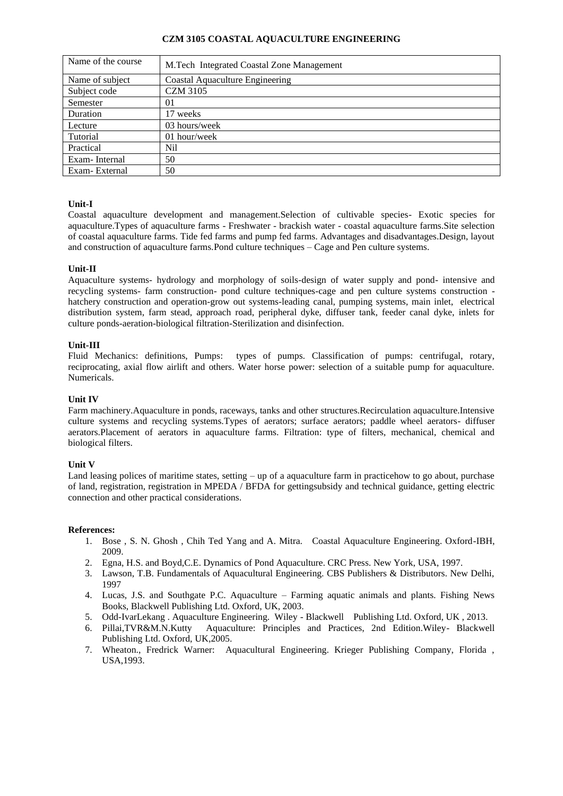### **CZM 3105 COASTAL AQUACULTURE ENGINEERING**

| Name of the course | M.Tech Integrated Coastal Zone Management |
|--------------------|-------------------------------------------|
| Name of subject    | Coastal Aquaculture Engineering           |
| Subject code       | <b>CZM 3105</b>                           |
| Semester           | 01                                        |
| Duration           | 17 weeks                                  |
| Lecture            | 03 hours/week                             |
| Tutorial           | 01 hour/week                              |
| Practical          | Nil                                       |
| Exam-Internal      | 50                                        |
| Exam-External      | 50                                        |

# **Unit-I**

Coastal aquaculture development and management.Selection of cultivable species- Exotic species for aquaculture.Types of aquaculture farms - Freshwater - brackish water - coastal aquaculture farms.Site selection of coastal aquaculture farms. Tide fed farms and pump fed farms. Advantages and disadvantages.Design, layout and construction of aquaculture farms.Pond culture techniques – Cage and Pen culture systems.

### **Unit-II**

Aquaculture systems- hydrology and morphology of soils-design of water supply and pond- intensive and recycling systems- farm construction- pond culture techniques-cage and pen culture systems construction hatchery construction and operation-grow out systems-leading canal, pumping systems, main inlet, electrical distribution system, farm stead, approach road, peripheral dyke, diffuser tank, feeder canal dyke, inlets for culture ponds-aeration-biological filtration-Sterilization and disinfection.

#### **Unit-III**

Fluid Mechanics: definitions, Pumps: types of pumps. Classification of pumps: centrifugal, rotary, reciprocating, axial flow airlift and others. Water horse power: selection of a suitable pump for aquaculture. Numericals.

### **Unit IV**

Farm machinery.Aquaculture in ponds, raceways, tanks and other structures.Recirculation aquaculture.Intensive culture systems and recycling systems.Types of aerators; surface aerators; paddle wheel aerators- diffuser aerators.Placement of aerators in aquaculture farms. Filtration: type of filters, mechanical, chemical and biological filters.

#### **Unit V**

Land leasing polices of maritime states, setting – up of a aquaculture farm in practicehow to go about, purchase of land, registration, registration in MPEDA / BFDA for gettingsubsidy and technical guidance, getting electric connection and other practical considerations.

- 1. Bose , S. N. Ghosh , Chih Ted Yang and A. Mitra. Coastal Aquaculture Engineering. Oxford-IBH, 2009.
- 2. Egna, H.S. and Boyd,C.E. Dynamics of Pond Aquaculture. CRC Press. New York, USA, 1997.
- 3. Lawson, T.B. Fundamentals of Aquacultural Engineering. CBS Publishers & Distributors. New Delhi, 1997
- 4. Lucas, J.S. and Southgate P.C. Aquaculture Farming aquatic animals and plants. Fishing News Books, Blackwell Publishing Ltd. Oxford, UK, 2003.
- 5. Odd-IvarLekang . Aquaculture Engineering. Wiley Blackwell Publishing Ltd. Oxford, UK , 2013.
- 6. Pillai,TVR&M.N.Kutty Aquaculture: Principles and Practices, 2nd Edition.Wiley- Blackwell Publishing Ltd. Oxford, UK,2005.
- 7. Wheaton., Fredrick Warner: Aquacultural Engineering. Krieger Publishing Company, Florida , USA,1993.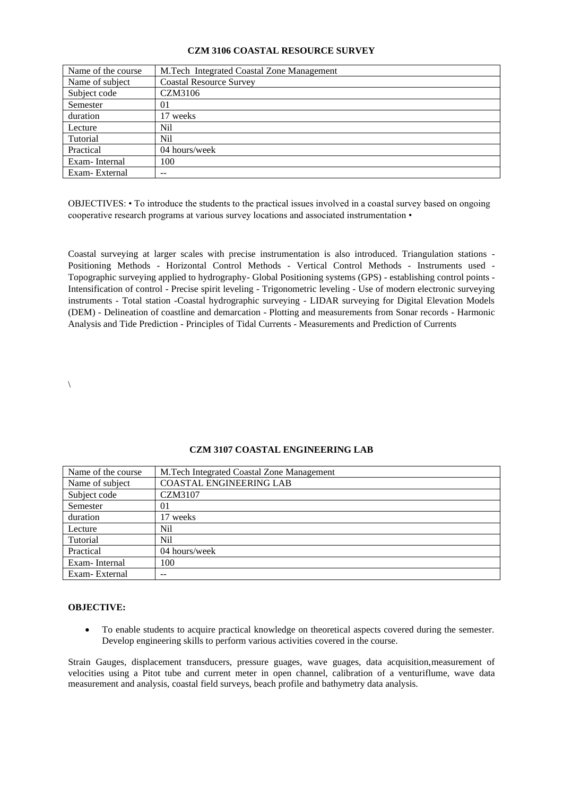### **CZM 3106 COASTAL RESOURCE SURVEY**

| Name of the course | M.Tech Integrated Coastal Zone Management |
|--------------------|-------------------------------------------|
| Name of subject    | <b>Coastal Resource Survey</b>            |
| Subject code       | CZM3106                                   |
| Semester           | 01                                        |
| duration           | 17 weeks                                  |
| Lecture            | Nil                                       |
| Tutorial           | Nil                                       |
| Practical          | 04 hours/week                             |
| Exam-Internal      | 100                                       |
| Exam-External      | --                                        |

OBJECTIVES: • To introduce the students to the practical issues involved in a coastal survey based on ongoing cooperative research programs at various survey locations and associated instrumentation •

Coastal surveying at larger scales with precise instrumentation is also introduced. Triangulation stations - Positioning Methods - Horizontal Control Methods - Vertical Control Methods - Instruments used - Topographic surveying applied to hydrography- Global Positioning systems (GPS) - establishing control points - Intensification of control - Precise spirit leveling - Trigonometric leveling - Use of modern electronic surveying instruments - Total station -Coastal hydrographic surveying - LIDAR surveying for Digital Elevation Models (DEM) - Delineation of coastline and demarcation - Plotting and measurements from Sonar records - Harmonic Analysis and Tide Prediction - Principles of Tidal Currents - Measurements and Prediction of Currents

 $\setminus$ 

| Name of the course | M.Tech Integrated Coastal Zone Management |
|--------------------|-------------------------------------------|
| Name of subject    | <b>COASTAL ENGINEERING LAB</b>            |
| Subject code       | CZM3107                                   |
| Semester           | 01                                        |
| duration           | 17 weeks                                  |
| Lecture            | Nil                                       |
| Tutorial           | Nil                                       |
| Practical          | 04 hours/week                             |
| Exam-Internal      | 100                                       |
| Exam-External      |                                           |

#### **CZM 3107 COASTAL ENGINEERING LAB**

#### **OBJECTIVE:**

• To enable students to acquire practical knowledge on theoretical aspects covered during the semester. Develop engineering skills to perform various activities covered in the course.

Strain Gauges, displacement transducers, pressure guages, wave guages, data acquisition,measurement of velocities using a Pitot tube and current meter in open channel, calibration of a venturiflume, wave data measurement and analysis, coastal field surveys, beach profile and bathymetry data analysis.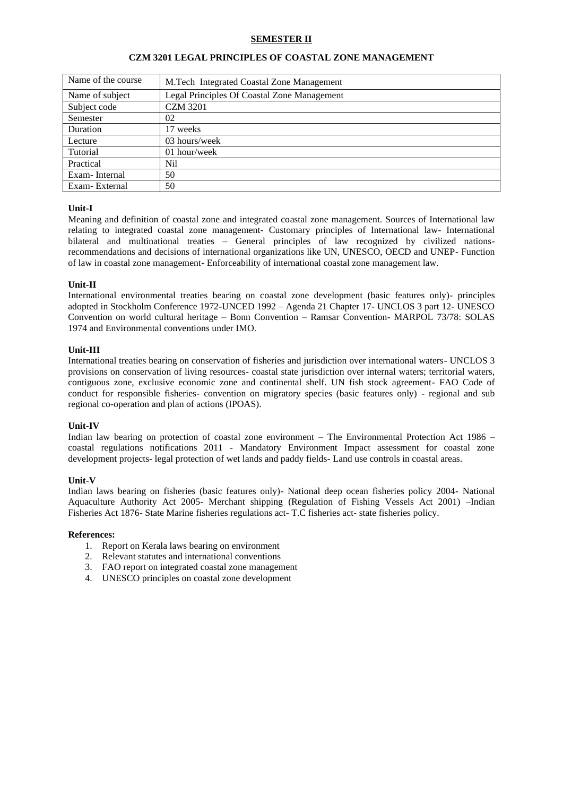# **SEMESTER II**

| Name of the course | M.Tech Integrated Coastal Zone Management   |
|--------------------|---------------------------------------------|
| Name of subject    | Legal Principles Of Coastal Zone Management |
| Subject code       | <b>CZM 3201</b>                             |
| Semester           | 02                                          |
| Duration           | 17 weeks                                    |
| Lecture            | 03 hours/week                               |
| Tutorial           | $01$ hour/week                              |
| Practical          | Nil                                         |
| Exam-Internal      | 50                                          |
| Exam-External      | 50                                          |

### **CZM 3201 LEGAL PRINCIPLES OF COASTAL ZONE MANAGEMENT**

# **Unit-I**

Meaning and definition of coastal zone and integrated coastal zone management. Sources of International law relating to integrated coastal zone management- Customary principles of International law- International bilateral and multinational treaties – General principles of law recognized by civilized nationsrecommendations and decisions of international organizations like UN, UNESCO, OECD and UNEP- Function of law in coastal zone management- Enforceability of international coastal zone management law.

### **Unit-II**

International environmental treaties bearing on coastal zone development (basic features only)- principles adopted in Stockholm Conference 1972-UNCED 1992 – Agenda 21 Chapter 17- UNCLOS 3 part 12- UNESCO Convention on world cultural heritage – Bonn Convention – Ramsar Convention- MARPOL 73/78: SOLAS 1974 and Environmental conventions under IMO.

### **Unit-III**

International treaties bearing on conservation of fisheries and jurisdiction over international waters- UNCLOS 3 provisions on conservation of living resources- coastal state jurisdiction over internal waters; territorial waters, contiguous zone, exclusive economic zone and continental shelf. UN fish stock agreement- FAO Code of conduct for responsible fisheries- convention on migratory species (basic features only) - regional and sub regional co-operation and plan of actions (IPOAS).

#### **Unit-IV**

Indian law bearing on protection of coastal zone environment – The Environmental Protection Act 1986 – coastal regulations notifications 2011 - Mandatory Environment Impact assessment for coastal zone development projects- legal protection of wet lands and paddy fields- Land use controls in coastal areas.

#### **Unit-V**

Indian laws bearing on fisheries (basic features only)- National deep ocean fisheries policy 2004- National Aquaculture Authority Act 2005- Merchant shipping (Regulation of Fishing Vessels Act 2001) –Indian Fisheries Act 1876- State Marine fisheries regulations act- T.C fisheries act- state fisheries policy.

- 1. Report on Kerala laws bearing on environment
- 2. Relevant statutes and international conventions
- 3. FAO report on integrated coastal zone management
- 4. UNESCO principles on coastal zone development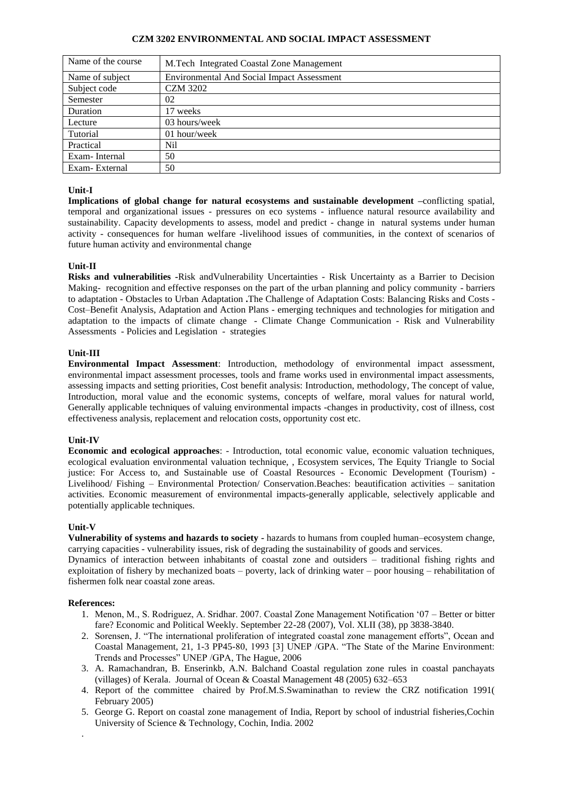## **CZM 3202 ENVIRONMENTAL AND SOCIAL IMPACT ASSESSMENT**

| Name of the course | M.Tech Integrated Coastal Zone Management         |
|--------------------|---------------------------------------------------|
| Name of subject    | <b>Environmental And Social Impact Assessment</b> |
| Subject code       | <b>CZM 3202</b>                                   |
| Semester           | 02                                                |
| Duration           | 17 weeks                                          |
| Lecture            | 03 hours/week                                     |
| Tutorial           | 01 hour/week                                      |
| Practical          | Nil                                               |
| Exam-Internal      | 50                                                |
| Exam-External      | 50                                                |

# **Unit-I**

**Implications of global change for natural ecosystems and sustainable development –**conflicting spatial, temporal and organizational issues - pressures on eco systems - influence natural resource availability and sustainability. Capacity developments to assess, model and predict - change in natural systems under human activity - consequences for human welfare **-**livelihood issues of communities, in the context of scenarios of future human activity and environmental change

# **Unit-II**

**Risks and vulnerabilities -**Risk andVulnerability Uncertainties - Risk Uncertainty as a Barrier to Decision Making*-* recognition and effective responses on the part of the urban planning and policy community - barriers to adaptation - Obstacles to Urban Adaptation **.**The Challenge of Adaptation Costs: Balancing Risks and Costs - Cost–Benefit Analysis, [Adaptation and Action Plans](http://collaborate.csc.noaa.gov/climateadaptation/Lists/Resources/AdaptationAction%20Plans.aspx) - emerging techniques and technologies for mitigation and adaptation to the impacts of climate change - [Climate Change Communication](http://collaborate.csc.noaa.gov/climateadaptation/Lists/Resources/Climate%20Change%20Communication.aspx) - [Risk and Vulnerability](http://collaborate.csc.noaa.gov/climateadaptation/Lists/Resources/RiskVulnerability%20Assessments.aspx)  [Assessments](http://collaborate.csc.noaa.gov/climateadaptation/Lists/Resources/RiskVulnerability%20Assessments.aspx) - [Policies and Legislation](http://collaborate.csc.noaa.gov/climateadaptation/Lists/Resources/PoliciesLegislation.aspx) - strategies

### **Unit-III**

**Environmental Impact Assessment**: Introduction, methodology of environmental impact assessment, environmental impact assessment processes, tools and frame works used in environmental impact assessments, assessing impacts and setting priorities, Cost benefit analysis: Introduction, methodology, The concept of value, Introduction, moral value and the economic systems, concepts of welfare, moral values for natural world, Generally applicable techniques of valuing environmental impacts -changes in productivity, cost of illness, cost effectiveness analysis, replacement and relocation costs, opportunity cost etc.

# **Unit-IV**

**Economic and ecological approaches**: - Introduction, total economic value, economic valuation techniques, ecological evaluation environmental valuation technique, , Ecosystem services, The Equity Triangle to Social justice: For Access to, and Sustainable use of Coastal Resources - Economic Development (Tourism) - Livelihood/ Fishing – Environmental Protection/ Conservation.Beaches: beautification activities – sanitation activities. Economic measurement of environmental impacts-generally applicable, selectively applicable and potentially applicable techniques.

# **Unit-V**

**Vulnerability of systems and hazards to society -** hazards to humans from coupled human–ecosystem change, carrying capacities - vulnerability issues, risk of degrading the sustainability of goods and services.

Dynamics of interaction between inhabitants of coastal zone and outsiders – traditional fishing rights and exploitation of fishery by mechanized boats – poverty, lack of drinking water – poor housing – rehabilitation of fishermen folk near coastal zone areas.

# **References:**

.

- 1. Menon, M., S. Rodriguez, A. Sridhar. 2007. Coastal Zone Management Notification '07 Better or bitter fare? Economic and Political Weekly. September 22-28 (2007), Vol. XLII (38), pp 3838-3840.
- 2. Sorensen, J. "The international proliferation of integrated coastal zone management efforts", Ocean and Coastal Management, 21, 1-3 PP45-80, 1993 [3] UNEP /GPA. "The State of the Marine Environment: Trends and Processes" UNEP /GPA, The Hague, 2006
- 3. A. Ramachandran, B. Enserinkb, A.N. Balchand Coastal regulation zone rules in coastal panchayats (villages) of Kerala. Journal of Ocean & Coastal Management 48 (2005) 632–653
- 4. Report of the committee chaired by Prof.M.S.Swaminathan to review the CRZ notification 1991( February 2005)
- 5. George G. Report on coastal zone management of India, Report by school of industrial fisheries,Cochin University of Science & Technology, Cochin, India. 2002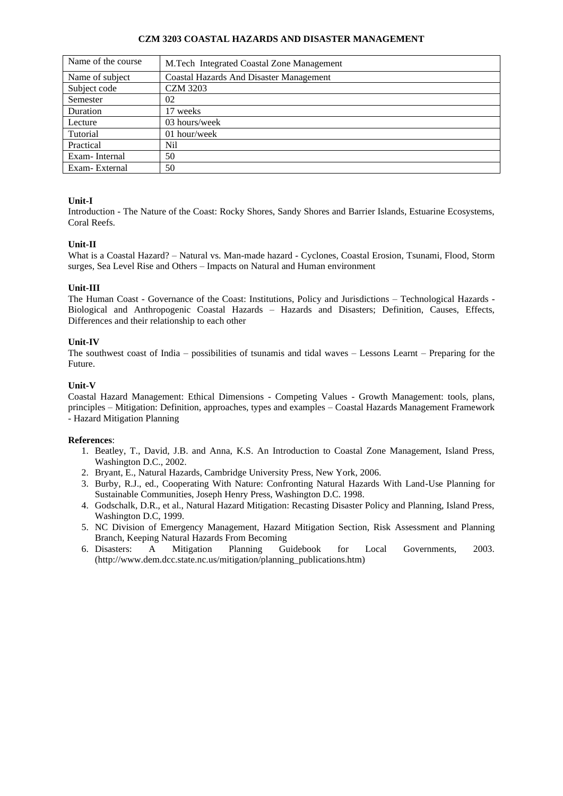## **CZM 3203 COASTAL HAZARDS AND DISASTER MANAGEMENT**

| Name of the course | M.Tech Integrated Coastal Zone Management      |
|--------------------|------------------------------------------------|
| Name of subject    | <b>Coastal Hazards And Disaster Management</b> |
| Subject code       | <b>CZM 3203</b>                                |
| Semester           | 02                                             |
| Duration           | 17 weeks                                       |
| Lecture            | 03 hours/week                                  |
| Tutorial           | $01$ hour/week                                 |
| Practical          | Nil                                            |
| Exam-Internal      | 50                                             |
| Exam-External      | 50                                             |

# **Unit-I**

Introduction - The Nature of the Coast: Rocky Shores, Sandy Shores and Barrier Islands, Estuarine Ecosystems, Coral Reefs.

# **Unit-II**

What is a Coastal Hazard? – Natural vs. Man-made hazard - Cyclones, Coastal Erosion, Tsunami, Flood, Storm surges, Sea Level Rise and Others – Impacts on Natural and Human environment

### **Unit-III**

The Human Coast - Governance of the Coast: Institutions, Policy and Jurisdictions – Technological Hazards - Biological and Anthropogenic Coastal Hazards – Hazards and Disasters; Definition, Causes, Effects, Differences and their relationship to each other

#### **Unit-IV**

The southwest coast of India – possibilities of tsunamis and tidal waves – Lessons Learnt – Preparing for the Future.

#### **Unit-V**

Coastal Hazard Management: Ethical Dimensions - Competing Values - Growth Management: tools, plans, principles – Mitigation: Definition, approaches, types and examples – Coastal Hazards Management Framework - Hazard Mitigation Planning

- 1. Beatley, T., David, J.B. and Anna, K.S. An Introduction to Coastal Zone Management, Island Press, Washington D.C., 2002.
- 2. Bryant, E., Natural Hazards, Cambridge University Press, New York, 2006.
- 3. Burby, R.J., ed., Cooperating With Nature: Confronting Natural Hazards With Land-Use Planning for Sustainable Communities, Joseph Henry Press, Washington D.C. 1998.
- 4. Godschalk, D.R., et al., Natural Hazard Mitigation: Recasting Disaster Policy and Planning, Island Press, Washington D.C, 1999.
- 5. NC Division of Emergency Management, Hazard Mitigation Section, Risk Assessment and Planning Branch, Keeping Natural Hazards From Becoming
- 6. Disasters: A Mitigation Planning Guidebook for Local Governments, 2003. (http://www.dem.dcc.state.nc.us/mitigation/planning\_publications.htm)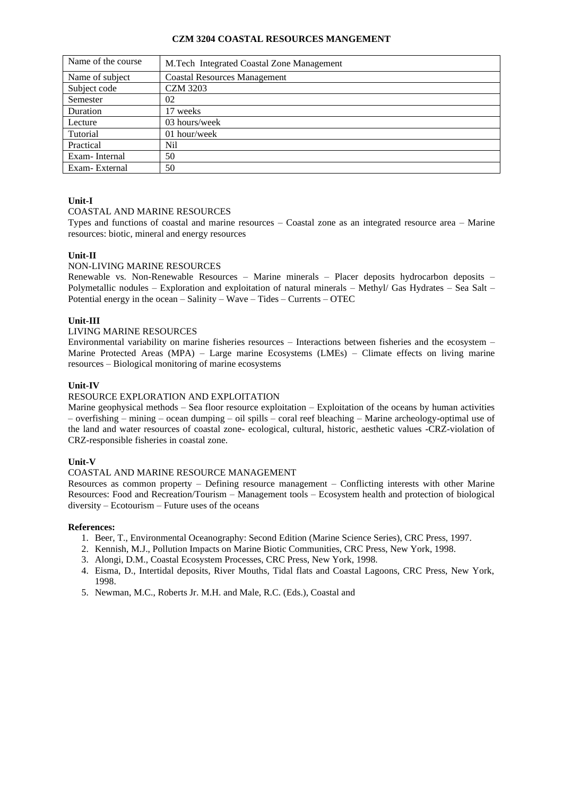### **CZM 3204 COASTAL RESOURCES MANGEMENT**

| Name of the course | M.Tech Integrated Coastal Zone Management |
|--------------------|-------------------------------------------|
| Name of subject    | <b>Coastal Resources Management</b>       |
| Subject code       | <b>CZM 3203</b>                           |
| Semester           | 02                                        |
| Duration           | 17 weeks                                  |
| Lecture            | 03 hours/week                             |
| Tutorial           | 01 hour/week                              |
| Practical          | Nil                                       |
| Exam-Internal      | 50                                        |
| Exam-External      | 50                                        |

# **Unit-I**

# COASTAL AND MARINE RESOURCES

Types and functions of coastal and marine resources – Coastal zone as an integrated resource area – Marine resources: biotic, mineral and energy resources

# **Unit-II**

# NON-LIVING MARINE RESOURCES

Renewable vs. Non-Renewable Resources – Marine minerals – Placer deposits hydrocarbon deposits – Polymetallic nodules – Exploration and exploitation of natural minerals – Methyl/ Gas Hydrates – Sea Salt – Potential energy in the ocean – Salinity – Wave – Tides – Currents – OTEC

### **Unit-III**

#### LIVING MARINE RESOURCES

Environmental variability on marine fisheries resources – Interactions between fisheries and the ecosystem – Marine Protected Areas (MPA) – Large marine Ecosystems (LMEs) – Climate effects on living marine resources – Biological monitoring of marine ecosystems

### **Unit-IV**

### RESOURCE EXPLORATION AND EXPLOITATION

Marine geophysical methods – Sea floor resource exploitation – Exploitation of the oceans by human activities – overfishing – mining – ocean dumping – oil spills – coral reef bleaching – Marine archeology-optimal use of the land and water resources of coastal zone- ecological, cultural, historic, aesthetic values -CRZ-violation of CRZ-responsible fisheries in coastal zone.

### **Unit-V**

### COASTAL AND MARINE RESOURCE MANAGEMENT

Resources as common property – Defining resource management – Conflicting interests with other Marine Resources: Food and Recreation/Tourism – Management tools – Ecosystem health and protection of biological diversity – Ecotourism – Future uses of the oceans

- 1. Beer, T., Environmental Oceanography: Second Edition (Marine Science Series), CRC Press, 1997.
- 2. Kennish, M.J., Pollution Impacts on Marine Biotic Communities, CRC Press, New York, 1998.
- 3. Alongi, D.M., Coastal Ecosystem Processes, CRC Press, New York, 1998.
- 4. Eisma, D., Intertidal deposits, River Mouths, Tidal flats and Coastal Lagoons, CRC Press, New York, 1998.
- 5. Newman, M.C., Roberts Jr. M.H. and Male, R.C. (Eds.), Coastal and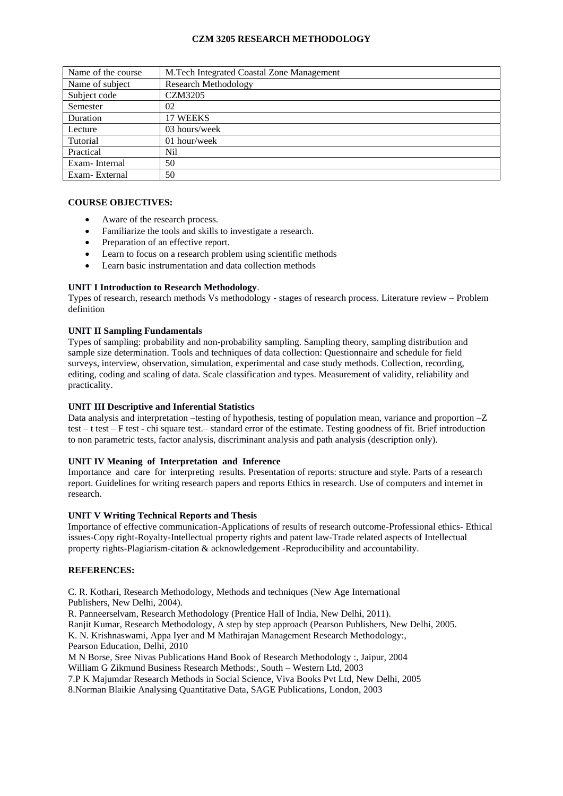# **CZM 3205 RESEARCH METHODOLOGY**

| Name of the course | M.Tech Integrated Coastal Zone Management |
|--------------------|-------------------------------------------|
| Name of subject    | <b>Research Methodology</b>               |
| Subject code       | <b>CZM3205</b>                            |
| Semester           | 02                                        |
| Duration           | 17 WEEKS                                  |
| Lecture            | 03 hours/week                             |
| Tutorial           | 01 hour/week                              |
| Practical          | Nil                                       |
| Exam-Internal      | 50                                        |
| Exam-External      | 50                                        |

# **COURSE OBJECTIVES:**

- Aware of the research process.
- Familiarize the tools and skills to investigate a research.
- Preparation of an effective report.
- Learn to focus on a research problem using scientific methods
- Learn basic instrumentation and data collection methods

### **UNIT I Introduction to Research Methodology**.

Types of research, research methods Vs methodology - stages of research process. Literature review – Problem definition

### **UNIT II Sampling Fundamentals**

Types of sampling: probability and non-probability sampling. Sampling theory, sampling distribution and sample size determination. Tools and techniques of data collection: Questionnaire and schedule for field surveys, interview, observation, simulation, experimental and case study methods. Collection, recording, editing, coding and scaling of data. Scale classification and types. Measurement of validity, reliability and practicality.

### **UNIT III Descriptive and Inferential Statistics**

Data analysis and interpretation –testing of hypothesis, testing of population mean, variance and proportion –Z test – t test – F test - chi square test.– standard error of the estimate. Testing goodness of fit. Brief introduction to non parametric tests, factor analysis, discriminant analysis and path analysis (description only).

### **UNIT IV Meaning of Interpretation and Inference**

Importance and care for interpreting results. Presentation of reports: structure and style. Parts of a research report. Guidelines for writing research papers and reports Ethics in research. Use of computers and internet in research.

#### **UNIT V Writing Technical Reports and Thesis**

Importance of effective communication-Applications of results of research outcome-Professional ethics- Ethical issues-Copy right-Royalty-Intellectual property rights and patent law-Trade related aspects of Intellectual property rights-Plagiarism-citation & acknowledgement -Reproducibility and accountability.

#### **REFERENCES:**

C. R. Kothari, Research Methodology, Methods and techniques (New Age International Publishers, New Delhi, 2004).

R. Panneerselvam, Research Methodology (Prentice Hall of India, New Delhi, 2011). Ranjit Kumar, Research Methodology, A step by step approach (Pearson Publishers, New Delhi, 2005. K. N. Krishnaswami, Appa Iyer and M Mathirajan Management Research Methodology:, Pearson Education, Delhi, 2010

M N Borse, Sree Nivas Publications Hand Book of Research Methodology :, Jaipur, 2004 William G Zikmund Business Research Methods:, South – Western Ltd, 2003

7.P K Majumdar Research Methods in Social Science, Viva Books Pvt Ltd, New Delhi, 2005

8.Norman Blaikie Analysing Quantitative Data, SAGE Publications, London, 2003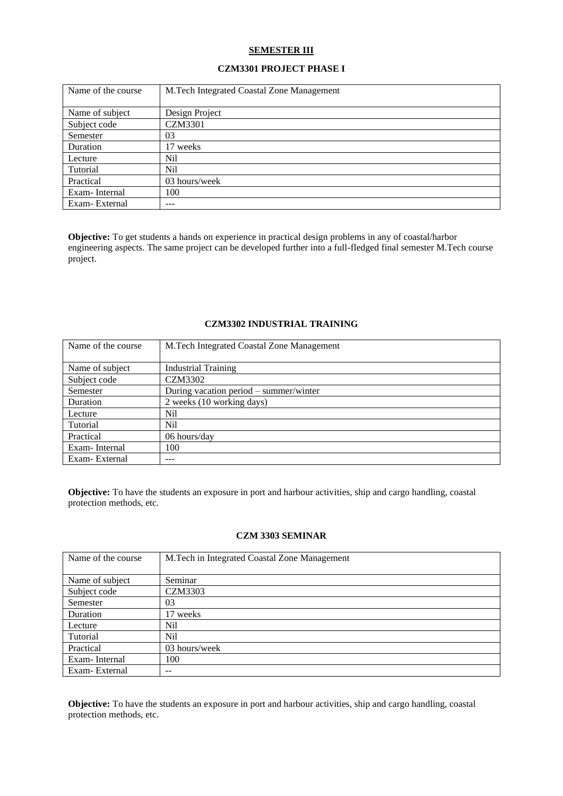#### **SEMESTER III**

# **CZM3301 PROJECT PHASE I**

| Name of the course | M. Tech Integrated Coastal Zone Management |
|--------------------|--------------------------------------------|
| Name of subject    | Design Project                             |
| Subject code       | <b>CZM3301</b>                             |
| Semester           | 03                                         |
| Duration           | 17 weeks                                   |
| Lecture            | Nil                                        |
| Tutorial           | Nil                                        |
| Practical          | 03 hours/week                              |
| Exam-Internal      | 100                                        |
| Exam-External      | ---                                        |

**Objective:** To get students a hands on experience in practical design problems in any of coastal/harbor engineering aspects. The same project can be developed further into a full-fledged final semester M.Tech course project.

# **CZM3302 INDUSTRIAL TRAINING**

| Name of the course | M. Tech Integrated Coastal Zone Management |
|--------------------|--------------------------------------------|
|                    |                                            |
| Name of subject    | <b>Industrial Training</b>                 |
| Subject code       | CZM3302                                    |
| Semester           | During vacation period – summer/winter     |
| Duration           | 2 weeks (10 working days)                  |
| Lecture            | Nil                                        |
| Tutorial           | Nil.                                       |
| Practical          | 06 hours/day                               |
| Exam-Internal      | 100                                        |
| Exam-External      | ---                                        |

**Objective:** To have the students an exposure in port and harbour activities, ship and cargo handling, coastal protection methods, etc.

## **CZM 3303 SEMINAR**

| Name of the course | M.Tech in Integrated Coastal Zone Management |
|--------------------|----------------------------------------------|
|                    |                                              |
| Name of subject    | Seminar                                      |
| Subject code       | CZM3303                                      |
| Semester           | 03                                           |
| Duration           | 17 weeks                                     |
| Lecture            | Nil                                          |
| Tutorial           | Nil                                          |
| Practical          | 03 hours/week                                |
| Exam-Internal      | 100                                          |
| Exam-External      |                                              |

**Objective:** To have the students an exposure in port and harbour activities, ship and cargo handling, coastal protection methods, etc.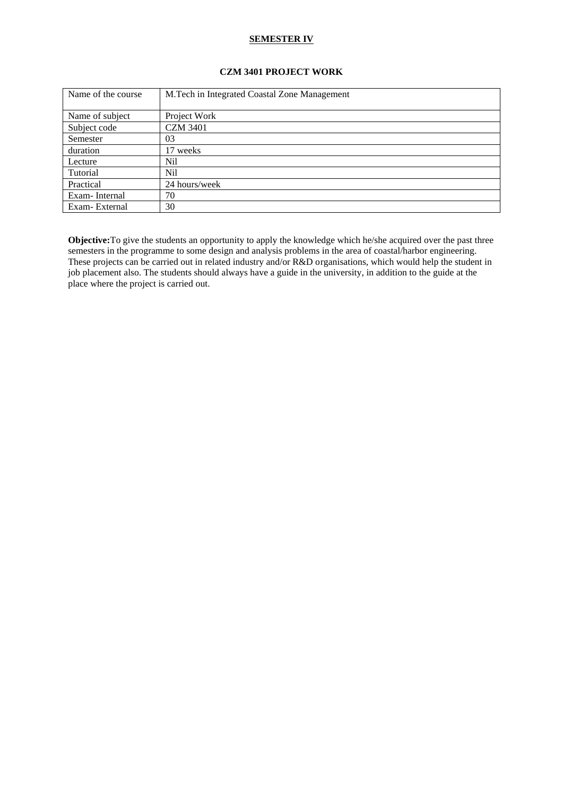## **SEMESTER IV**

# **CZM 3401 PROJECT WORK**

| Name of the course | M.Tech in Integrated Coastal Zone Management |
|--------------------|----------------------------------------------|
|                    |                                              |
| Name of subject    | Project Work                                 |
| Subject code       | <b>CZM 3401</b>                              |
| Semester           | 03                                           |
| duration           | 17 weeks                                     |
| Lecture            | Nil                                          |
| Tutorial           | Nil                                          |
| Practical          | 24 hours/week                                |
| Exam-Internal      | 70                                           |
| Exam-External      | 30                                           |

**Objective:**To give the students an opportunity to apply the knowledge which he/she acquired over the past three semesters in the programme to some design and analysis problems in the area of coastal/harbor engineering. These projects can be carried out in related industry and/or R&D organisations, which would help the student in job placement also. The students should always have a guide in the university, in addition to the guide at the place where the project is carried out.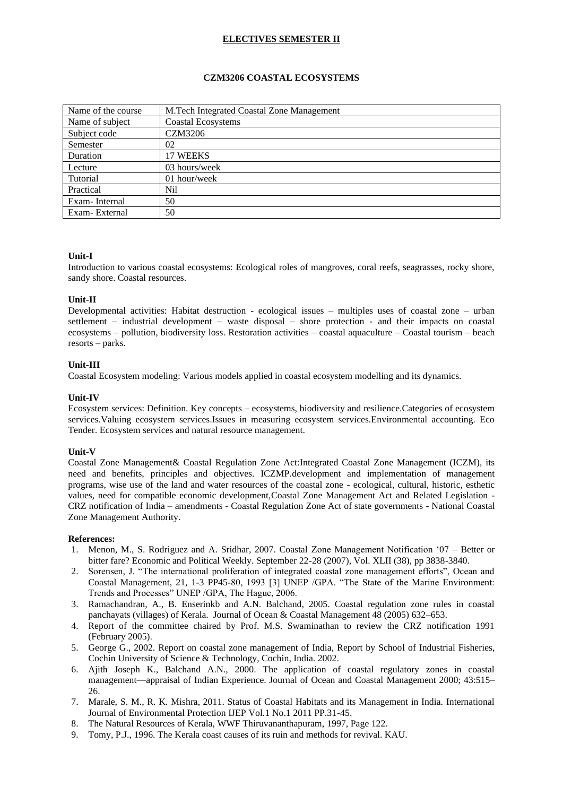# **ELECTIVES SEMESTER II**

# **CZM3206 COASTAL ECOSYSTEMS**

| Name of the course | M.Tech Integrated Coastal Zone Management |
|--------------------|-------------------------------------------|
| Name of subject    | <b>Coastal Ecosystems</b>                 |
| Subject code       | <b>CZM3206</b>                            |
| Semester           | 02                                        |
| Duration           | 17 WEEKS                                  |
| Lecture            | 03 hours/week                             |
| Tutorial           | 01 hour/week                              |
| Practical          | Nil                                       |
| Exam-Internal      | 50                                        |
| Exam-External      | 50                                        |

### **Unit-I**

Introduction to various coastal ecosystems: Ecological roles of mangroves, coral reefs, seagrasses, rocky shore, sandy shore. Coastal resources.

### **Unit-II**

Developmental activities: Habitat destruction - ecological issues – multiples uses of coastal zone – urban settlement – industrial development – waste disposal – shore protection - and their impacts on coastal ecosystems – pollution, biodiversity loss. Restoration activities – coastal aquaculture – Coastal tourism – beach resorts – parks.

### **Unit-III**

Coastal Ecosystem modeling: Various models applied in coastal ecosystem modelling and its dynamics.

### **Unit-IV**

Ecosystem services: Definition. Key concepts – ecosystems, biodiversity and resilience.Categories of ecosystem services.Valuing ecosystem services.Issues in measuring ecosystem services.Environmental accounting. Eco Tender. Ecosystem services and natural resource management.

#### **Unit-V**

Coastal Zone Management& Coastal Regulation Zone Act:Integrated Coastal Zone Management (ICZM), its need and benefits, principles and objectives. ICZMP.development and implementation of management programs, wise use of the land and water resources of the coastal zone - ecological, cultural, historic, esthetic values, need for compatible economic development,Coastal Zone Management Act and Related Legislation - CRZ notification of India – amendments - Coastal Regulation Zone Act of state governments **-** National Coastal Zone Management Authority.

- 1. Menon, M., S. Rodriguez and A. Sridhar, 2007. Coastal Zone Management Notification '07 Better or bitter fare? Economic and Political Weekly. September 22-28 (2007), Vol. XLII (38), pp 3838-3840.
- 2. Sorensen, J. "The international proliferation of integrated coastal zone management efforts", Ocean and Coastal Management, 21, 1-3 PP45-80, 1993 [3] UNEP /GPA. "The State of the Marine Environment: Trends and Processes" UNEP /GPA, The Hague, 2006.
- 3. Ramachandran, A., B. Enserinkb and A.N. Balchand, 2005. Coastal regulation zone rules in coastal panchayats (villages) of Kerala. Journal of Ocean & Coastal Management 48 (2005) 632–653.
- 4. Report of the committee chaired by Prof. M.S. Swaminathan to review the CRZ notification 1991 (February 2005).
- 5. George G., 2002. Report on coastal zone management of India, Report by School of Industrial Fisheries, Cochin University of Science & Technology, Cochin, India. 2002.
- 6. Ajith Joseph K., Balchand A.N., 2000. The application of coastal regulatory zones in coastal management—appraisal of Indian Experience. Journal of Ocean and Coastal Management 2000; 43:515–  $26$
- 7. Marale, S. M., R. K. Mishra, 2011. Status of Coastal Habitats and its Management in India. International Journal of Environmental Protection IJEP Vol.1 No.1 2011 PP.31-45.
- 8. The Natural Resources of Kerala, WWF Thiruvananthapuram, 1997, Page 122.
- 9. Tomy, P.J., 1996. The Kerala coast causes of its ruin and methods for revival. KAU.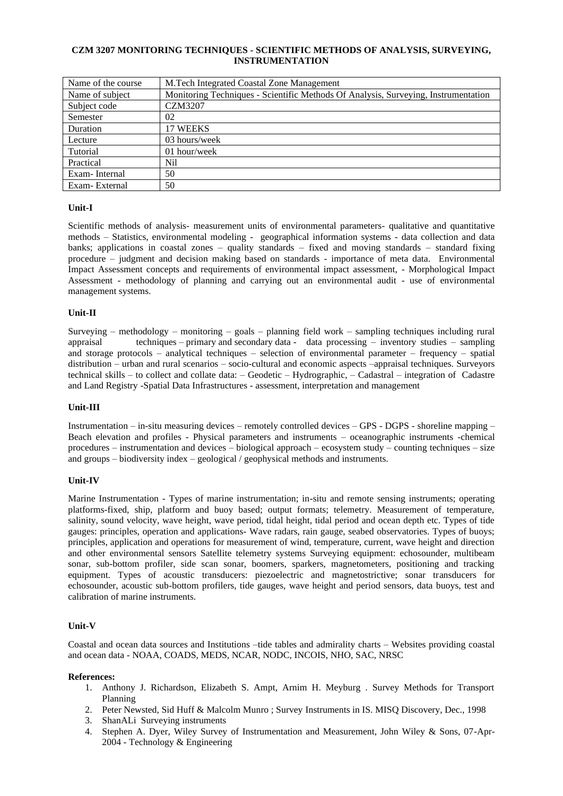# **CZM 3207 MONITORING TECHNIQUES - SCIENTIFIC METHODS OF ANALYSIS, SURVEYING, INSTRUMENTATION**

| Name of the course | M.Tech Integrated Coastal Zone Management                                          |
|--------------------|------------------------------------------------------------------------------------|
| Name of subject    | Monitoring Techniques - Scientific Methods Of Analysis, Surveying, Instrumentation |
| Subject code       | <b>CZM3207</b>                                                                     |
| Semester           | 02                                                                                 |
| Duration           | 17 WEEKS                                                                           |
| Lecture            | 03 hours/week                                                                      |
| Tutorial           | $01$ hour/week                                                                     |
| Practical          | Nil                                                                                |
| Exam-Internal      | 50                                                                                 |
| Exam-External      | 50                                                                                 |

# **Unit-I**

Scientific methods of analysis- measurement units of environmental parameters- qualitative and quantitative methods – Statistics, environmental modeling - geographical information systems - data collection and data banks; applications in coastal zones – quality standards – fixed and moving standards – standard fixing procedure – judgment and decision making based on standards - importance of meta data. Environmental Impact Assessment concepts and requirements of environmental impact assessment, - Morphological Impact Assessment - methodology of planning and carrying out an environmental audit - use of environmental management systems.

# **Unit-II**

Surveying – methodology – monitoring – goals – planning field work – sampling techniques including rural appraisal techniques – primary and secondary data - data processing – inventory studies – sampling and storage protocols – analytical techniques – selection of environmental parameter – frequency – spatial distribution – urban and rural scenarios – socio-cultural and economic aspects –appraisal techniques. Surveyors technical skills – to collect and collate data: – Geodetic – Hydrographic, – Cadastral – integration of Cadastre and Land Registry -Spatial Data Infrastructures - assessment, interpretation and management

# **Unit-III**

Instrumentation – in-situ measuring devices – remotely controlled devices – GPS - DGPS - shoreline mapping – Beach elevation and profiles - Physical parameters and instruments – oceanographic instruments -chemical procedures – instrumentation and devices – biological approach – ecosystem study – counting techniques – size and groups – biodiversity index – geological / geophysical methods and instruments.

# **Unit-IV**

Marine Instrumentation - Types of marine instrumentation; in-situ and remote sensing instruments; operating platforms-fixed, ship, platform and buoy based; output formats; telemetry. Measurement of temperature, salinity, sound velocity, wave height, wave period, tidal height, tidal period and ocean depth etc. Types of tide gauges: principles, operation and applications- Wave radars, rain gauge, seabed observatories. Types of buoys; principles, application and operations for measurement of wind, temperature, current, wave height and direction and other environmental sensors Satellite telemetry systems Surveying equipment: echosounder, multibeam sonar, sub-bottom profiler, side scan sonar, boomers, sparkers, magnetometers, positioning and tracking equipment. Types of acoustic transducers: piezoelectric and magnetostrictive; sonar transducers for echosounder, acoustic sub-bottom profilers, tide gauges, wave height and period sensors, data buoys, test and calibration of marine instruments.

# **Unit-V**

Coastal and ocean data sources and Institutions –tide tables and admirality charts – Websites providing coastal and ocean data - NOAA, COADS, MEDS, NCAR, NODC, INCOIS, NHO, SAC, NRSC

- 1. Anthony J. Richardson, Elizabeth S. Ampt, Arnim H. Meyburg . Survey Methods for Transport Planning
- 2. Peter Newsted, Sid Huff & Malcolm Munro ; Survey Instruments in IS. MISQ Discovery, Dec., 1998
- 3. ShanALi Surveying instruments
- 4. Stephen A. Dyer, Wiley Survey of Instrumentation and Measurement, John Wiley & Sons, 07-Apr-2004 - Technology & Engineering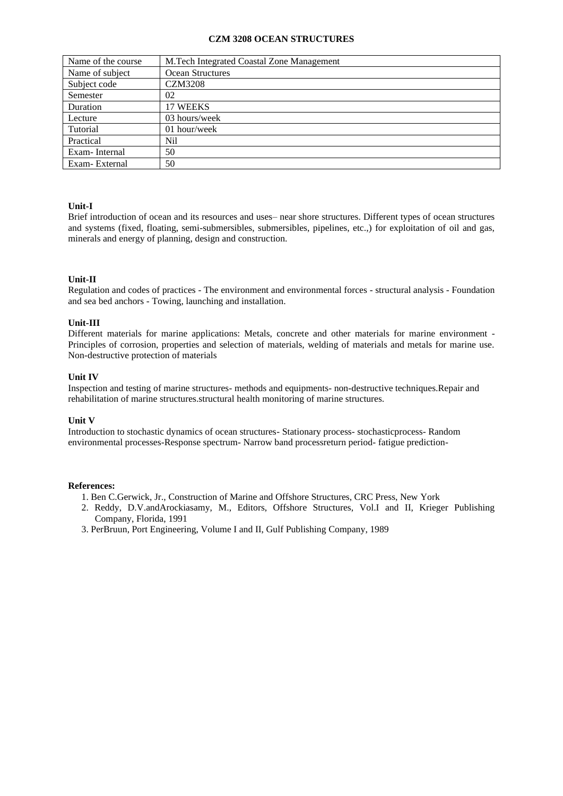#### **CZM 3208 OCEAN STRUCTURES**

| Name of the course | M.Tech Integrated Coastal Zone Management |
|--------------------|-------------------------------------------|
| Name of subject    | <b>Ocean Structures</b>                   |
| Subject code       | <b>CZM3208</b>                            |
| Semester           | 02                                        |
| Duration           | 17 WEEKS                                  |
| Lecture            | 03 hours/week                             |
| Tutorial           | 01 hour/week                              |
| Practical          | Nil                                       |
| Exam-Internal      | 50                                        |
| Exam-External      | 50                                        |

# **Unit-I**

Brief introduction of ocean and its resources and uses– near shore structures. Different types of ocean structures and systems (fixed, floating, semi-submersibles, submersibles, pipelines, etc.,) for exploitation of oil and gas, minerals and energy of planning, design and construction.

### **Unit-II**

Regulation and codes of practices - The environment and environmental forces - structural analysis - Foundation and sea bed anchors - Towing, launching and installation.

#### **Unit-III**

Different materials for marine applications: Metals, concrete and other materials for marine environment - Principles of corrosion, properties and selection of materials, welding of materials and metals for marine use. Non-destructive protection of materials

#### **Unit IV**

Inspection and testing of marine structures- methods and equipments- non-destructive techniques.Repair and rehabilitation of marine structures.structural health monitoring of marine structures.

#### **Unit V**

Introduction to stochastic dynamics of ocean structures- Stationary process- stochasticprocess- Random environmental processes-Response spectrum- Narrow band processreturn period- fatigue prediction-

- 1. Ben C.Gerwick, Jr., Construction of Marine and Offshore Structures, CRC Press, New York
- 2. Reddy, D.V.andArockiasamy, M., Editors, Offshore Structures, Vol.I and II, Krieger Publishing Company, Florida, 1991
- 3. PerBruun, Port Engineering, Volume I and II, Gulf Publishing Company, 1989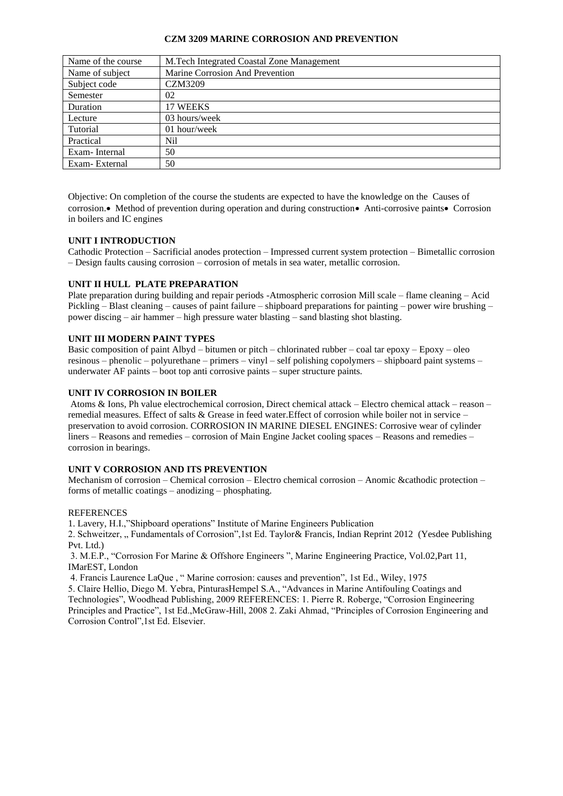### **CZM 3209 MARINE CORROSION AND PREVENTION**

| Name of the course | M.Tech Integrated Coastal Zone Management |
|--------------------|-------------------------------------------|
| Name of subject    | Marine Corrosion And Prevention           |
| Subject code       | <b>CZM3209</b>                            |
| Semester           | 02                                        |
| Duration           | 17 WEEKS                                  |
| Lecture            | $03$ hours/week                           |
| Tutorial           | $01$ hour/week                            |
| Practical          | Nil                                       |
| Exam-Internal      | 50                                        |
| Exam-External      | 50                                        |

Objective: On completion of the course the students are expected to have the knowledge on the Causes of corrosion.• Method of prevention during operation and during construction• Anti-corrosive paints• Corrosion in boilers and IC engines

### **UNIT I INTRODUCTION**

Cathodic Protection – Sacrificial anodes protection – Impressed current system protection – Bimetallic corrosion – Design faults causing corrosion – corrosion of metals in sea water, metallic corrosion.

# **UNIT II HULL PLATE PREPARATION**

Plate preparation during building and repair periods -Atmospheric corrosion Mill scale – flame cleaning – Acid Pickling – Blast cleaning – causes of paint failure – shipboard preparations for painting – power wire brushing – power discing – air hammer – high pressure water blasting – sand blasting shot blasting.

# **UNIT III MODERN PAINT TYPES**

Basic composition of paint Albyd – bitumen or pitch – chlorinated rubber – coal tar epoxy – Epoxy – oleo resinous – phenolic – polyurethane – primers – vinyl – self polishing copolymers – shipboard paint systems – underwater AF paints – boot top anti corrosive paints – super structure paints.

### **UNIT IV CORROSION IN BOILER**

Atoms & Ions, Ph value electrochemical corrosion, Direct chemical attack – Electro chemical attack – reason – remedial measures. Effect of salts & Grease in feed water.Effect of corrosion while boiler not in service – preservation to avoid corrosion. CORROSION IN MARINE DIESEL ENGINES: Corrosive wear of cylinder liners – Reasons and remedies – corrosion of Main Engine Jacket cooling spaces – Reasons and remedies – corrosion in bearings.

### **UNIT V CORROSION AND ITS PREVENTION**

Mechanism of corrosion – Chemical corrosion – Electro chemical corrosion – Anomic &cathodic protection – forms of metallic coatings – anodizing – phosphating.

### **REFERENCES**

1. Lavery, H.I.,"Shipboard operations" Institute of Marine Engineers Publication

2. Schweitzer, " Fundamentals of Corrosion",1st Ed. Taylor& Francis, Indian Reprint 2012 (Yesdee Publishing Pvt. Ltd.)

3. M.E.P., "Corrosion For Marine & Offshore Engineers ", Marine Engineering Practice, Vol.02,Part 11, IMarEST, London

4. Francis Laurence LaQue , " Marine corrosion: causes and prevention", 1st Ed., Wiley, 1975

5. Claire Hellio, Diego M. Yebra, PinturasHempel S.A., "Advances in Marine Antifouling Coatings and Technologies", Woodhead Publishing, 2009 REFERENCES: 1. Pierre R. Roberge, "Corrosion Engineering Principles and Practice", 1st Ed.,McGraw-Hill, 2008 2. Zaki Ahmad, "Principles of Corrosion Engineering and Corrosion Control",1st Ed. Elsevier.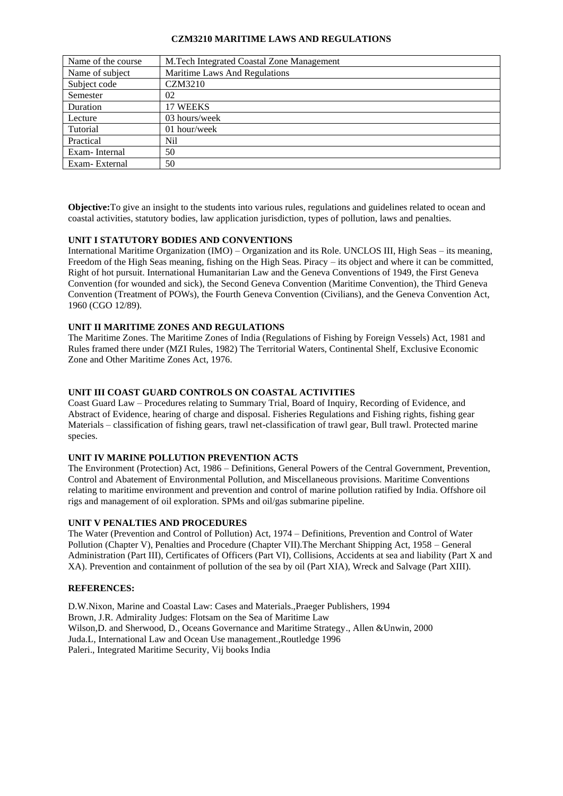### **CZM3210 MARITIME LAWS AND REGULATIONS**

| Name of the course | M.Tech Integrated Coastal Zone Management |
|--------------------|-------------------------------------------|
| Name of subject    | Maritime Laws And Regulations             |
| Subject code       | <b>CZM3210</b>                            |
| Semester           | 02                                        |
| Duration           | 17 WEEKS                                  |
| Lecture            | 03 hours/week                             |
| Tutorial           | 01 hour/week                              |
| Practical          | Nil                                       |
| Exam-Internal      | 50                                        |
| Exam-External      | 50                                        |

**Objective:**To give an insight to the students into various rules, regulations and guidelines related to ocean and coastal activities, statutory bodies, law application jurisdiction, types of pollution, laws and penalties.

# **UNIT I STATUTORY BODIES AND CONVENTIONS**

International Maritime Organization (IMO) – Organization and its Role. UNCLOS III, High Seas – its meaning, Freedom of the High Seas meaning, fishing on the High Seas. Piracy – its object and where it can be committed, Right of hot pursuit. International Humanitarian Law and the Geneva Conventions of 1949, the First Geneva Convention (for wounded and sick), the Second Geneva Convention (Maritime Convention), the Third Geneva Convention (Treatment of POWs), the Fourth Geneva Convention (Civilians), and the Geneva Convention Act, 1960 (CGO 12/89).

### **UNIT II MARITIME ZONES AND REGULATIONS**

The Maritime Zones. The Maritime Zones of India (Regulations of Fishing by Foreign Vessels) Act, 1981 and Rules framed there under (MZI Rules, 1982) The Territorial Waters, Continental Shelf, Exclusive Economic Zone and Other Maritime Zones Act, 1976.

# **UNIT III COAST GUARD CONTROLS ON COASTAL ACTIVITIES**

Coast Guard Law – Procedures relating to Summary Trial, Board of Inquiry, Recording of Evidence, and Abstract of Evidence, hearing of charge and disposal. Fisheries Regulations and Fishing rights, fishing gear Materials – classification of fishing gears, trawl net-classification of trawl gear, Bull trawl. Protected marine species.

### **UNIT IV MARINE POLLUTION PREVENTION ACTS**

The Environment (Protection) Act, 1986 – Definitions, General Powers of the Central Government, Prevention, Control and Abatement of Environmental Pollution, and Miscellaneous provisions. Maritime Conventions relating to maritime environment and prevention and control of marine pollution ratified by India. Offshore oil rigs and management of oil exploration. SPMs and oil/gas submarine pipeline.

#### **UNIT V PENALTIES AND PROCEDURES**

The Water (Prevention and Control of Pollution) Act, 1974 – Definitions, Prevention and Control of Water Pollution (Chapter V), Penalties and Procedure (Chapter VII).The Merchant Shipping Act, 1958 – General Administration (Part III), Certificates of Officers (Part VI), Collisions, Accidents at sea and liability (Part X and XA). Prevention and containment of pollution of the sea by oil (Part XIA), Wreck and Salvage (Part XIII).

### **REFERENCES:**

D.W.Nixon, Marine and Coastal Law: Cases and Materials.,Praeger Publishers, 1994 Brown, J.R. Admirality Judges: Flotsam on the Sea of Maritime Law Wilson,D. and Sherwood, D., Oceans Governance and Maritime Strategy., Allen &Unwin, 2000 Juda.L, International Law and Ocean Use management.,Routledge 1996 Paleri., Integrated Maritime Security, Vij books India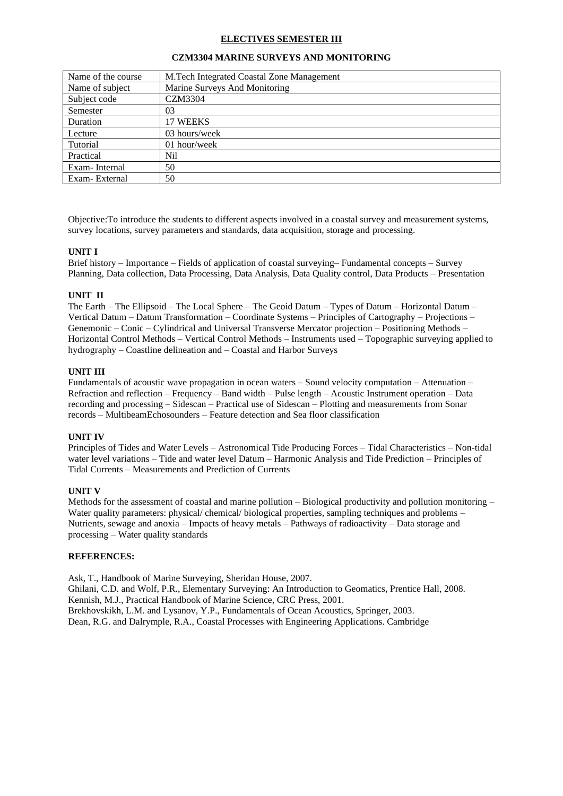### **ELECTIVES SEMESTER III**

| Name of the course | M.Tech Integrated Coastal Zone Management |
|--------------------|-------------------------------------------|
| Name of subject    | Marine Surveys And Monitoring             |
| Subject code       | CZM3304                                   |
| Semester           | 03                                        |
| Duration           | 17 WEEKS                                  |
| Lecture            | 03 hours/week                             |
| Tutorial           | 01 hour/week                              |
| Practical          | Nil                                       |
| Exam-Internal      | 50                                        |
| Exam-External      | 50                                        |

#### **CZM3304 MARINE SURVEYS AND MONITORING**

Objective:To introduce the students to different aspects involved in a coastal survey and measurement systems, survey locations, survey parameters and standards, data acquisition, storage and processing.

#### **UNIT I**

Brief history – Importance – Fields of application of coastal surveying– Fundamental concepts – Survey Planning, Data collection, Data Processing, Data Analysis, Data Quality control, Data Products – Presentation

### **UNIT II**

The Earth – The Ellipsoid – The Local Sphere – The Geoid Datum – Types of Datum – Horizontal Datum – Vertical Datum – Datum Transformation – Coordinate Systems – Principles of Cartography – Projections – Genemonic – Conic – Cylindrical and Universal Transverse Mercator projection – Positioning Methods – Horizontal Control Methods – Vertical Control Methods – Instruments used – Topographic surveying applied to hydrography – Coastline delineation and – Coastal and Harbor Surveys

### **UNIT III**

Fundamentals of acoustic wave propagation in ocean waters – Sound velocity computation – Attenuation – Refraction and reflection – Frequency – Band width – Pulse length – Acoustic Instrument operation – Data recording and processing – Sidescan – Practical use of Sidescan – Plotting and measurements from Sonar records – MultibeamEchosounders – Feature detection and Sea floor classification

#### **UNIT IV**

Principles of Tides and Water Levels – Astronomical Tide Producing Forces – Tidal Characteristics – Non-tidal water level variations – Tide and water level Datum – Harmonic Analysis and Tide Prediction – Principles of Tidal Currents – Measurements and Prediction of Currents

#### **UNIT V**

Methods for the assessment of coastal and marine pollution – Biological productivity and pollution monitoring – Water quality parameters: physical/ chemical/ biological properties, sampling techniques and problems – Nutrients, sewage and anoxia – Impacts of heavy metals – Pathways of radioactivity – Data storage and processing – Water quality standards

# **REFERENCES:**

Ask, T., Handbook of Marine Surveying, Sheridan House, 2007. Ghilani, C.D. and Wolf, P.R., Elementary Surveying: An Introduction to Geomatics, Prentice Hall, 2008. Kennish, M.J., Practical Handbook of Marine Science, CRC Press, 2001. Brekhovskikh, L.M. and Lysanov, Y.P., Fundamentals of Ocean Acoustics, Springer, 2003. Dean, R.G. and Dalrymple, R.A., Coastal Processes with Engineering Applications. Cambridge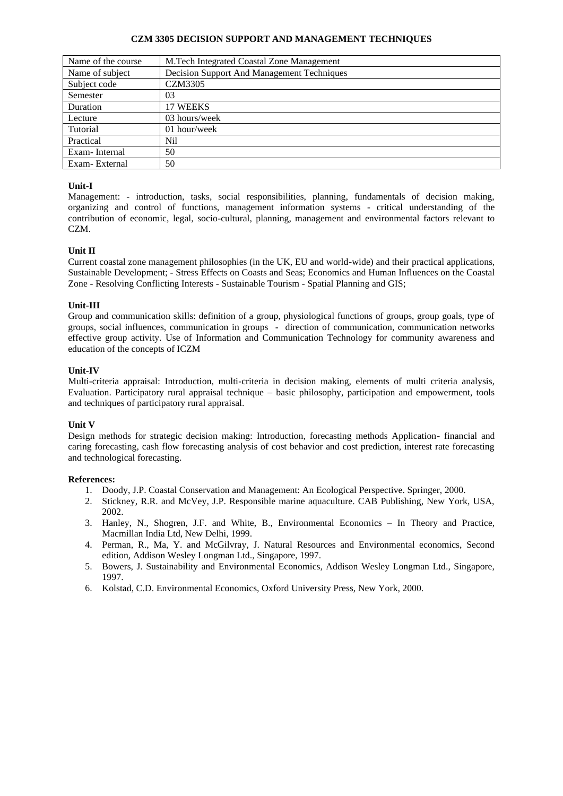## **CZM 3305 DECISION SUPPORT AND MANAGEMENT TECHNIQUES**

| Name of the course | M.Tech Integrated Coastal Zone Management  |
|--------------------|--------------------------------------------|
| Name of subject    | Decision Support And Management Techniques |
| Subject code       | <b>CZM3305</b>                             |
| Semester           | 03                                         |
| Duration           | 17 WEEKS                                   |
| Lecture            | 03 hours/week                              |
| Tutorial           | $01$ hour/week                             |
| Practical          | Nil                                        |
| Exam-Internal      | 50                                         |
| Exam-External      | 50                                         |

# **Unit-I**

Management: - introduction, tasks, social responsibilities, planning, fundamentals of decision making, organizing and control of functions, management information systems - critical understanding of the contribution of economic, legal, socio-cultural, planning, management and environmental factors relevant to CZM.

# **Unit II**

Current coastal zone management philosophies (in the UK, EU and world-wide) and their practical applications, Sustainable Development; - Stress Effects on Coasts and Seas; Economics and Human Influences on the Coastal Zone - Resolving Conflicting Interests - Sustainable Tourism - Spatial Planning and GIS;

# **Unit-III**

Group and communication skills: definition of a group, physiological functions of groups, group goals, type of groups, social influences, communication in groups - direction of communication, communication networks effective group activity. Use of Information and Communication Technology for community awareness and education of the concepts of ICZM

### **Unit-IV**

Multi-criteria appraisal: Introduction, multi-criteria in decision making, elements of multi criteria analysis, Evaluation. Participatory rural appraisal technique – basic philosophy, participation and empowerment, tools and techniques of participatory rural appraisal.

# **Unit V**

Design methods for strategic decision making: Introduction, forecasting methods Application- financial and caring forecasting, cash flow forecasting analysis of cost behavior and cost prediction, interest rate forecasting and technological forecasting.

- 1. Doody, J.P. Coastal Conservation and Management: An Ecological Perspective. Springer, 2000.
- 2. Stickney, R.R. and McVey, J.P. Responsible marine aquaculture. CAB Publishing, New York, USA, 2002.
- 3. Hanley, N., Shogren, J.F. and White, B., Environmental Economics In Theory and Practice, Macmillan India Ltd, New Delhi, 1999.
- 4. Perman, R., Ma, Y. and McGilvray, J. Natural Resources and Environmental economics, Second edition, Addison Wesley Longman Ltd., Singapore, 1997.
- 5. Bowers, J. Sustainability and Environmental Economics, Addison Wesley Longman Ltd., Singapore, 1997.
- 6. Kolstad, C.D. Environmental Economics, Oxford University Press, New York, 2000.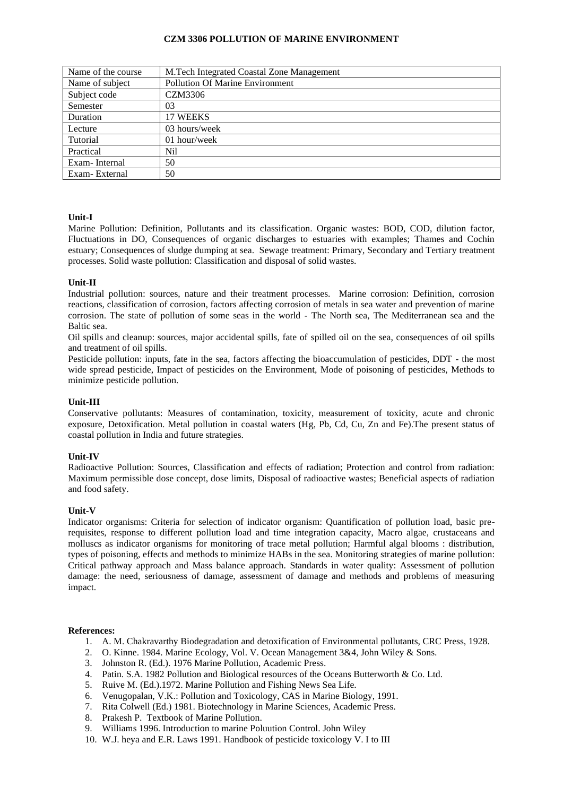### **CZM 3306 POLLUTION OF MARINE ENVIRONMENT**

| Name of the course | M.Tech Integrated Coastal Zone Management |
|--------------------|-------------------------------------------|
| Name of subject    | <b>Pollution Of Marine Environment</b>    |
| Subject code       | CZM3306                                   |
| Semester           | 03                                        |
| Duration           | 17 WEEKS                                  |
| Lecture            | 03 hours/week                             |
| Tutorial           | $01$ hour/week                            |
| Practical          | Nil                                       |
| Exam-Internal      | 50                                        |
| Exam-External      | 50                                        |

### **Unit-I**

Marine Pollution: Definition, Pollutants and its classification. Organic wastes: BOD, COD, dilution factor, Fluctuations in DO, Consequences of organic discharges to estuaries with examples; Thames and Cochin estuary; Consequences of sludge dumping at sea. Sewage treatment: Primary, Secondary and Tertiary treatment processes. Solid waste pollution: Classification and disposal of solid wastes.

### **Unit-II**

Industrial pollution: sources, nature and their treatment processes. Marine corrosion: Definition, corrosion reactions, classification of corrosion, factors affecting corrosion of metals in sea water and prevention of marine corrosion. The state of pollution of some seas in the world - The North sea, The Mediterranean sea and the Baltic sea.

Oil spills and cleanup: sources, major accidental spills, fate of spilled oil on the sea, consequences of oil spills and treatment of oil spills.

Pesticide pollution: inputs, fate in the sea, factors affecting the bioaccumulation of pesticides, DDT - the most wide spread pesticide, Impact of pesticides on the Environment, Mode of poisoning of pesticides, Methods to minimize pesticide pollution.

#### **Unit-III**

Conservative pollutants: Measures of contamination, toxicity, measurement of toxicity, acute and chronic exposure, Detoxification. Metal pollution in coastal waters (Hg, Pb, Cd, Cu, Zn and Fe).The present status of coastal pollution in India and future strategies.

#### **Unit-IV**

Radioactive Pollution: Sources, Classification and effects of radiation; Protection and control from radiation: Maximum permissible dose concept, dose limits, Disposal of radioactive wastes; Beneficial aspects of radiation and food safety.

#### **Unit-V**

Indicator organisms: Criteria for selection of indicator organism: Quantification of pollution load, basic prerequisites, response to different pollution load and time integration capacity, Macro algae, crustaceans and molluscs as indicator organisms for monitoring of trace metal pollution; Harmful algal blooms : distribution, types of poisoning, effects and methods to minimize HABs in the sea. Monitoring strategies of marine pollution: Critical pathway approach and Mass balance approach. Standards in water quality: Assessment of pollution damage: the need, seriousness of damage, assessment of damage and methods and problems of measuring impact.

- 1. A. M. Chakravarthy Biodegradation and detoxification of Environmental pollutants, CRC Press, 1928.
- 2. O. Kinne. 1984. Marine Ecology, Vol. V. Ocean Management 3&4, John Wiley & Sons.
- 3. Johnston R. (Ed.). 1976 Marine Pollution, Academic Press.
- 4. Patin. S.A. 1982 Pollution and Biological resources of the Oceans Butterworth & Co. Ltd.
- 5. Ruive M. (Ed.).1972. Marine Pollution and Fishing News Sea Life.
- 6. Venugopalan, V.K.: Pollution and Toxicology, CAS in Marine Biology, 1991.
- 7. Rita Colwell (Ed.) 1981. Biotechnology in Marine Sciences, Academic Press.
- 8. Prakesh P. Textbook of Marine Pollution.
- 9. Williams 1996. Introduction to marine Poluution Control. John Wiley
- 10. W.J. heya and E.R. Laws 1991. Handbook of pesticide toxicology V. I to III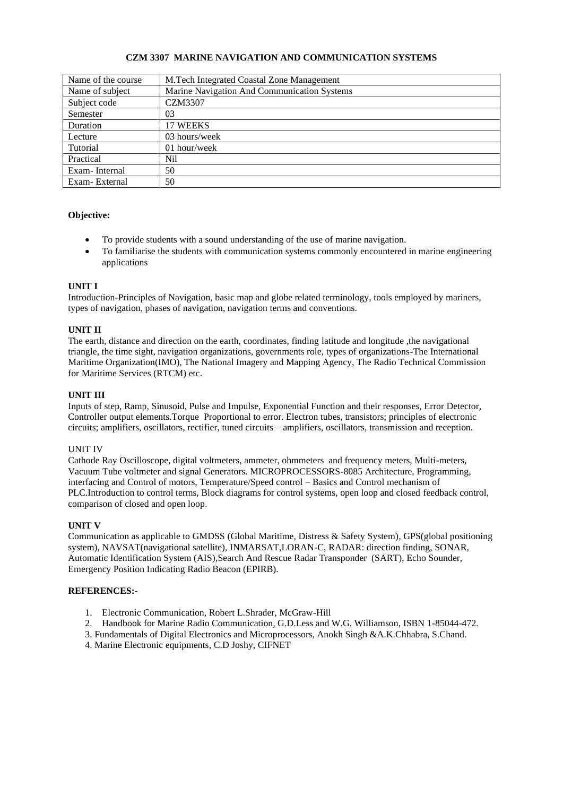# **CZM 3307 MARINE NAVIGATION AND COMMUNICATION SYSTEMS**

| Name of the course | M.Tech Integrated Coastal Zone Management   |
|--------------------|---------------------------------------------|
| Name of subject    | Marine Navigation And Communication Systems |
| Subject code       | <b>CZM3307</b>                              |
| Semester           | 03                                          |
| Duration           | 17 WEEKS                                    |
| Lecture            | 03 hours/week                               |
| Tutorial           | 01 hour/week                                |
| Practical          | Nil                                         |
| Exam-Internal      | 50                                          |
| Exam-External      | 50                                          |

# **Objective:**

- To provide students with a sound understanding of the use of marine navigation.
- To familiarise the students with communication systems commonly encountered in marine engineering applications

### **UNIT I**

Introduction-Principles of Navigation, basic map and globe related terminology, tools employed by mariners, types of navigation, phases of navigation, navigation terms and conventions.

### **UNIT II**

The earth, distance and direction on the earth, coordinates, finding latitude and longitude ,the navigational triangle, the time sight, navigation organizations, governments role, types of organizations**-**The International Maritime Organization(IMO), The National Imagery and Mapping Agency, The Radio Technical Commission for Maritime Services (RTCM) etc.

### **UNIT III**

Inputs of step, Ramp, Sinusoid, Pulse and Impulse, Exponential Function and their responses, Error Detector, Controller output elements.Torque Proportional to error. Electron tubes, transistors; principles of electronic circuits; amplifiers, oscillators, rectifier, tuned circuits – amplifiers, oscillators, transmission and reception.

#### UNIT IV

Cathode Ray Oscilloscope, digital voltmeters, ammeter, ohmmeters and frequency meters, Multi-meters, Vacuum Tube voltmeter and signal Generators. MICROPROCESSORS-8085 Architecture, Programming, interfacing and Control of motors, Temperature/Speed control – Basics and Control mechanism of PLC.Introduction to control terms, Block diagrams for control systems, open loop and closed feedback control, comparison of closed and open loop.

#### **UNIT V**

Communication as applicable to GMDSS (Global Maritime, Distress & Safety System), GPS(global positioning system), NAVSAT(navigational satellite), INMARSAT,LORAN-C, RADAR: direction finding, SONAR, Automatic Identification System (AIS),Search And Rescue Radar Transponder (SART), Echo Sounder, Emergency Position Indicating Radio Beacon (EPIRB).

#### **REFERENCES:-**

- 1. Electronic Communication, Robert L.Shrader, McGraw-Hill
- 2. Handbook for Marine Radio Communication, G.D.Less and W.G. Williamson, ISBN 1-85044-472.
- 3. Fundamentals of Digital Electronics and Microprocessors, Anokh Singh &A.K.Chhabra, S.Chand.
- 4. Marine Electronic equipments, C.D Joshy, CIFNET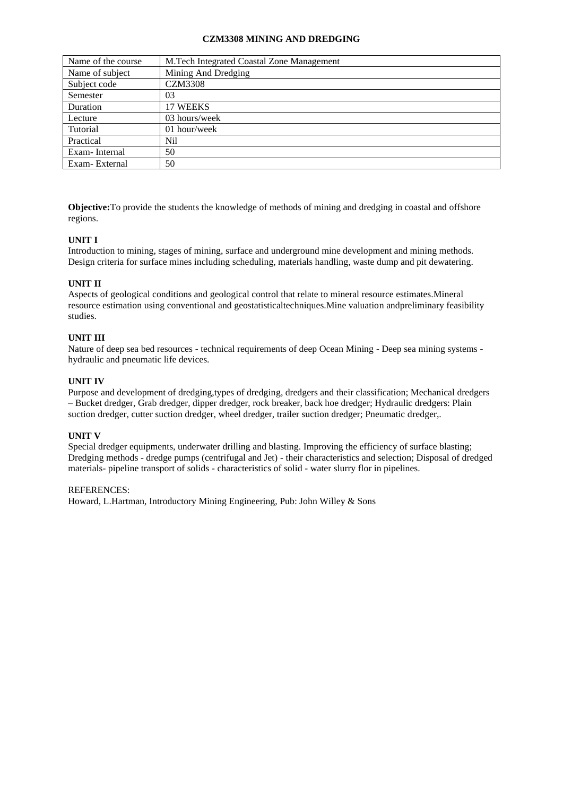### **CZM3308 MINING AND DREDGING**

| Name of the course | M.Tech Integrated Coastal Zone Management |
|--------------------|-------------------------------------------|
| Name of subject    | Mining And Dredging                       |
| Subject code       | <b>CZM3308</b>                            |
| Semester           | 03                                        |
| Duration           | 17 WEEKS                                  |
| Lecture            | 03 hours/week                             |
| Tutorial           | 01 hour/week                              |
| Practical          | Nil                                       |
| Exam-Internal      | 50                                        |
| Exam-External      | 50                                        |

**Objective:**To provide the students the knowledge of methods of mining and dredging in coastal and offshore regions.

# **UNIT I**

Introduction to mining, stages of mining, surface and underground mine development and mining methods. Design criteria for surface mines including scheduling, materials handling, waste dump and pit dewatering.

#### **UNIT II**

Aspects of geological conditions and geological control that relate to mineral resource estimates.Mineral resource estimation using conventional and geostatisticaltechniques.Mine valuation andpreliminary feasibility studies.

## **UNIT III**

Nature of deep sea bed resources - technical requirements of deep Ocean Mining - Deep sea mining systems hydraulic and pneumatic life devices.

### **UNIT IV**

Purpose and development of dredging,types of dredging, dredgers and their classification; Mechanical dredgers – Bucket dredger, Grab dredger, dipper dredger, rock breaker, back hoe dredger; Hydraulic dredgers: Plain suction dredger, cutter suction dredger, wheel dredger, trailer suction dredger; Pneumatic dredger,.

#### **UNIT V**

Special dredger equipments, underwater drilling and blasting. Improving the efficiency of surface blasting; Dredging methods - dredge pumps (centrifugal and Jet) - their characteristics and selection; Disposal of dredged materials- pipeline transport of solids - characteristics of solid - water slurry flor in pipelines.

### REFERENCES:

Howard, L.Hartman, Introductory Mining Engineering, Pub: John Willey & Sons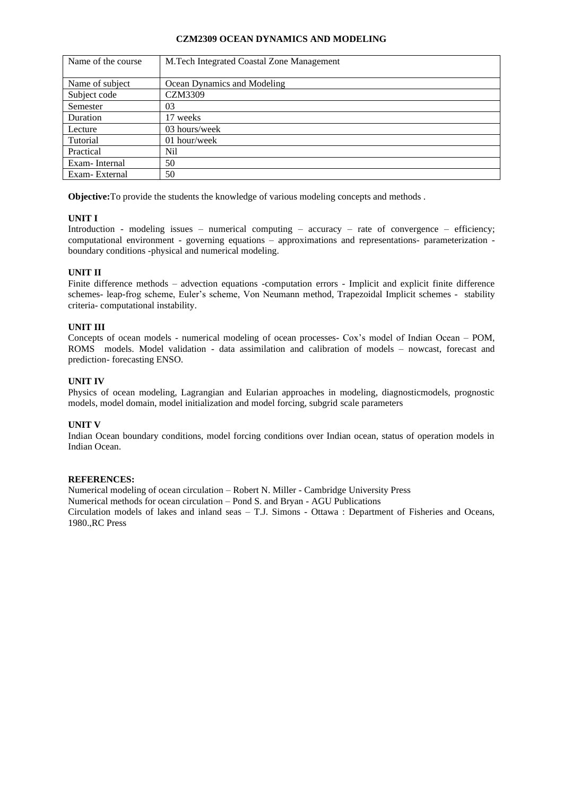#### **CZM2309 OCEAN DYNAMICS AND MODELING**

| Name of the course | M. Tech Integrated Coastal Zone Management |
|--------------------|--------------------------------------------|
|                    |                                            |
| Name of subject    | Ocean Dynamics and Modeling                |
| Subject code       | CZM3309                                    |
| Semester           | 03                                         |
| Duration           | 17 weeks                                   |
| Lecture            | 03 hours/week                              |
| Tutorial           | 01 hour/week                               |
| Practical          | Nil                                        |
| Exam-Internal      | 50                                         |
| Exam-External      | 50                                         |

**Objective:**To provide the students the knowledge of various modeling concepts and methods .

# **UNIT I**

Introduction - modeling issues – numerical computing – accuracy – rate of convergence – efficiency; computational environment - governing equations – approximations and representations- parameterization boundary conditions -physical and numerical modeling.

# **UNIT II**

Finite difference methods – advection equations -computation errors - Implicit and explicit finite difference schemes- leap-frog scheme, Euler's scheme, Von Neumann method, Trapezoidal Implicit schemes - stability criteria- computational instability.

# **UNIT III**

Concepts of ocean models - numerical modeling of ocean processes- Cox's model of Indian Ocean – POM, ROMS models. Model validation - data assimilation and calibration of models – nowcast, forecast and prediction- forecasting ENSO.

# **UNIT IV**

Physics of ocean modeling, Lagrangian and Eularian approaches in modeling, diagnosticmodels, prognostic models, model domain, model initialization and model forcing, subgrid scale parameters

# **UNIT V**

Indian Ocean boundary conditions, model forcing conditions over Indian ocean, status of operation models in Indian Ocean.

# **REFERENCES:**

Numerical modeling of ocean circulation – Robert N. Miller - Cambridge University Press Numerical methods for ocean circulation – Pond S. and Bryan - AGU Publications Circulation models of lakes and inland seas – T.J. Simons - Ottawa : Department of Fisheries and Oceans, 1980.,RC Press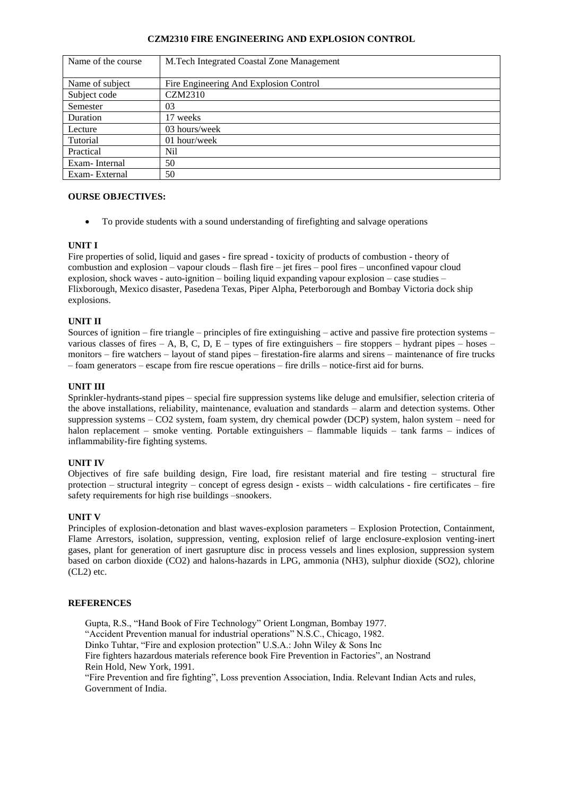### **CZM2310 FIRE ENGINEERING AND EXPLOSION CONTROL**

| Name of the course | M. Tech Integrated Coastal Zone Management |
|--------------------|--------------------------------------------|
|                    |                                            |
| Name of subject    | Fire Engineering And Explosion Control     |
| Subject code       | <b>CZM2310</b>                             |
| Semester           | 03                                         |
| Duration           | 17 weeks                                   |
| Lecture            | 03 hours/week                              |
| Tutorial           | 01 hour/week                               |
| Practical          | Nil                                        |
| Exam-Internal      | 50                                         |
| Exam-External      | 50                                         |

# **OURSE OBJECTIVES:**

• To provide students with a sound understanding of firefighting and salvage operations

### **UNIT I**

Fire properties of solid, liquid and gases - fire spread - toxicity of products of combustion - theory of combustion and explosion – vapour clouds – flash fire – jet fires – pool fires – unconfined vapour cloud explosion, shock waves - auto-ignition – boiling liquid expanding vapour explosion – case studies – Flixborough, Mexico disaster, Pasedena Texas, Piper Alpha, Peterborough and Bombay Victoria dock ship explosions.

#### **UNIT II**

Sources of ignition – fire triangle – principles of fire extinguishing – active and passive fire protection systems – various classes of fires – A, B, C, D, E – types of fire extinguishers – fire stoppers – hydrant pipes – hoses – monitors – fire watchers – layout of stand pipes – firestation-fire alarms and sirens – maintenance of fire trucks – foam generators – escape from fire rescue operations – fire drills – notice-first aid for burns.

### **UNIT III**

Sprinkler-hydrants-stand pipes – special fire suppression systems like deluge and emulsifier, selection criteria of the above installations, reliability, maintenance, evaluation and standards – alarm and detection systems. Other suppression systems – CO2 system, foam system, dry chemical powder (DCP) system, halon system – need for halon replacement – smoke venting. Portable extinguishers – flammable liquids – tank farms – indices of inflammability-fire fighting systems.

#### **UNIT IV**

Objectives of fire safe building design, Fire load, fire resistant material and fire testing – structural fire protection – structural integrity – concept of egress design - exists – width calculations - fire certificates – fire safety requirements for high rise buildings –snookers.

#### **UNIT V**

Principles of explosion-detonation and blast waves-explosion parameters – Explosion Protection, Containment, Flame Arrestors, isolation, suppression, venting, explosion relief of large enclosure-explosion venting-inert gases, plant for generation of inert gasrupture disc in process vessels and lines explosion, suppression system based on carbon dioxide (CO2) and halons-hazards in LPG, ammonia (NH3), sulphur dioxide (SO2), chlorine (CL2) etc.

#### **REFERENCES**

Gupta, R.S., "Hand Book of Fire Technology" Orient Longman, Bombay 1977.

"Accident Prevention manual for industrial operations" N.S.C., Chicago, 1982.

Dinko Tuhtar, "Fire and explosion protection" U.S.A.: John Wiley & Sons Inc

Fire fighters hazardous materials reference book Fire Prevention in Factories", an Nostrand Rein Hold, New York, 1991.

"Fire Prevention and fire fighting", Loss prevention Association, India. Relevant Indian Acts and rules, Government of India.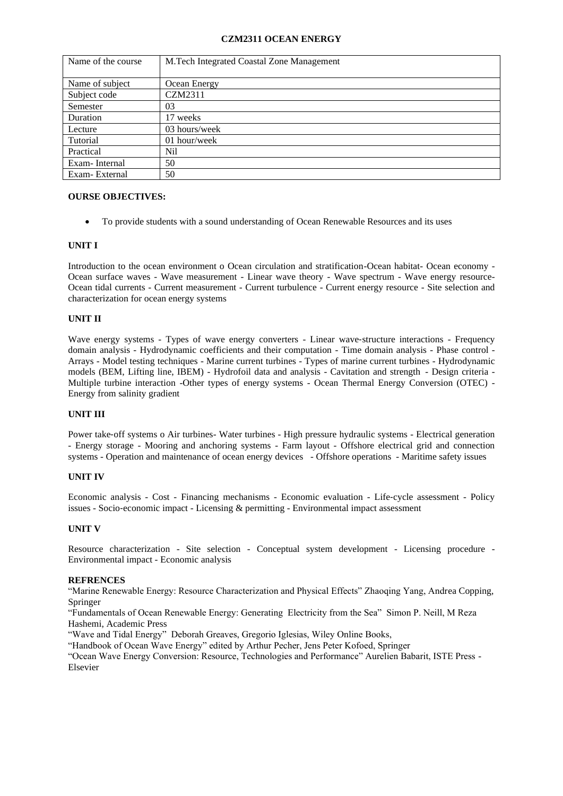### **CZM2311 OCEAN ENERGY**

| Name of the course | M.Tech Integrated Coastal Zone Management |
|--------------------|-------------------------------------------|
|                    |                                           |
| Name of subject    | Ocean Energy                              |
| Subject code       | CZM2311                                   |
| Semester           | 03                                        |
| Duration           | 17 weeks                                  |
| Lecture            | 03 hours/week                             |
| Tutorial           | 01 hour/week                              |
| Practical          | Nil                                       |
| Exam-Internal      | 50                                        |
| Exam-External      | 50                                        |

# **OURSE OBJECTIVES:**

• To provide students with a sound understanding of Ocean Renewable Resources and its uses

# **UNIT I**

Introduction to the ocean environment o Ocean circulation and stratification-Ocean habitat- Ocean economy - Ocean surface waves - Wave measurement - Linear wave theory - Wave spectrum - Wave energy resource-Ocean tidal currents - Current measurement - Current turbulence - Current energy resource - Site selection and characterization for ocean energy systems

### **UNIT II**

Wave energy systems - Types of wave energy converters - Linear wave-structure interactions - Frequency domain analysis - Hydrodynamic coefficients and their computation - Time domain analysis - Phase control - Arrays - Model testing techniques - Marine current turbines - Types of marine current turbines - Hydrodynamic models (BEM, Lifting line, IBEM) - Hydrofoil data and analysis - Cavitation and strength - Design criteria - Multiple turbine interaction -Other types of energy systems - Ocean Thermal Energy Conversion (OTEC) - Energy from salinity gradient

# **UNIT III**

Power take‐off systems o Air turbines- Water turbines - High pressure hydraulic systems - Electrical generation - Energy storage - Mooring and anchoring systems - Farm layout - Offshore electrical grid and connection systems - Operation and maintenance of ocean energy devices - Offshore operations - Maritime safety issues

### **UNIT IV**

Economic analysis - Cost - Financing mechanisms - Economic evaluation - Life‐cycle assessment - Policy issues - Socio‐economic impact - Licensing & permitting - Environmental impact assessment

#### **UNIT V**

Resource characterization - Site selection - Conceptual system development - Licensing procedure - Environmental impact - Economic analysis

#### **REFRENCES**

"Marine Renewable Energy: Resource Characterization and Physical Effects" Zhaoqing Yang, Andrea Copping, Springer

"Fundamentals of Ocean Renewable Energy: Generating Electricity from the Sea" Simon P. Neill, M Reza Hashemi, Academic Press

"Wave and Tidal Energy" Deborah Greaves, Gregorio Iglesias, Wiley Online Books,

"Handbook of Ocean Wave Energy" edited by Arthur Pecher, Jens Peter Kofoed, Springer

"Ocean Wave Energy Conversion: Resource, Technologies and Performance" Aurelien Babarit, ISTE Press - Elsevier